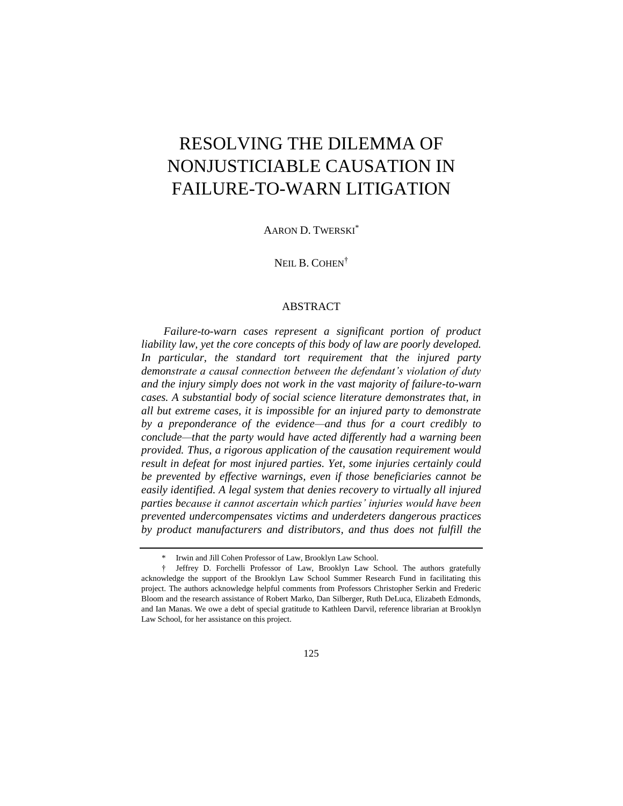# RESOLVING THE DILEMMA OF NONJUSTICIABLE CAUSATION IN FAILURE-TO-WARN LITIGATION

AARON D. TWERSKI\*

NEIL B. COHEN<sup>†</sup>

#### ABSTRACT

*Failure-to-warn cases represent a significant portion of product liability law, yet the core concepts of this body of law are poorly developed. In particular, the standard tort requirement that the injured party demonstrate a causal connection between the defendant's violation of duty and the injury simply does not work in the vast majority of failure-to-warn cases. A substantial body of social science literature demonstrates that, in all but extreme cases, it is impossible for an injured party to demonstrate by a preponderance of the evidence—and thus for a court credibly to conclude—that the party would have acted differently had a warning been provided. Thus, a rigorous application of the causation requirement would result in defeat for most injured parties. Yet, some injuries certainly could be prevented by effective warnings, even if those beneficiaries cannot be easily identified. A legal system that denies recovery to virtually all injured parties because it cannot ascertain which parties' injuries would have been prevented undercompensates victims and underdeters dangerous practices by product manufacturers and distributors, and thus does not fulfill the* 

<sup>\*</sup> Irwin and Jill Cohen Professor of Law, Brooklyn Law School.

<sup>†</sup> Jeffrey D. Forchelli Professor of Law, Brooklyn Law School. The authors gratefully acknowledge the support of the Brooklyn Law School Summer Research Fund in facilitating this project. The authors acknowledge helpful comments from Professors Christopher Serkin and Frederic Bloom and the research assistance of Robert Marko, Dan Silberger, Ruth DeLuca, Elizabeth Edmonds, and Ian Manas. We owe a debt of special gratitude to Kathleen Darvil, reference librarian at Brooklyn Law School, for her assistance on this project.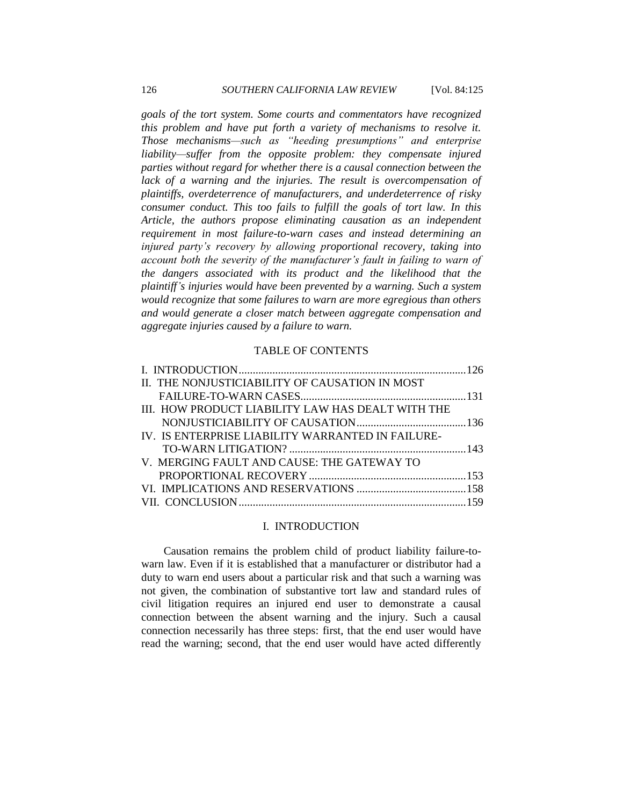*goals of the tort system. Some courts and commentators have recognized this problem and have put forth a variety of mechanisms to resolve it. Those mechanisms—such as "heeding presumptions" and enterprise liability—suffer from the opposite problem: they compensate injured parties without regard for whether there is a causal connection between the lack of a warning and the injuries. The result is overcompensation of plaintiffs, overdeterrence of manufacturers, and underdeterrence of risky consumer conduct. This too fails to fulfill the goals of tort law. In this Article, the authors propose eliminating causation as an independent requirement in most failure-to-warn cases and instead determining an injured party's recovery by allowing proportional recovery, taking into account both the severity of the manufacturer's fault in failing to warn of the dangers associated with its product and the likelihood that the plaintiff's injuries would have been prevented by a warning. Such a system would recognize that some failures to warn are more egregious than others and would generate a closer match between aggregate compensation and aggregate injuries caused by a failure to warn.*

#### TABLE OF CONTENTS

| II. THE NONJUSTICIABILITY OF CAUSATION IN MOST    |  |
|---------------------------------------------------|--|
|                                                   |  |
| III. HOW PRODUCT LIABILITY LAW HAS DEALT WITH THE |  |
|                                                   |  |
| IV. IS ENTERPRISE LIABILITY WARRANTED IN FAILURE- |  |
|                                                   |  |
| V. MERGING FAULT AND CAUSE: THE GATEWAY TO        |  |
|                                                   |  |
|                                                   |  |
|                                                   |  |

#### <span id="page-1-0"></span>I. INTRODUCTION

Causation remains the problem child of product liability failure-towarn law. Even if it is established that a manufacturer or distributor had a duty to warn end users about a particular risk and that such a warning was not given, the combination of substantive tort law and standard rules of civil litigation requires an injured end user to demonstrate a causal connection between the absent warning and the injury. Such a causal connection necessarily has three steps: first, that the end user would have read the warning; second, that the end user would have acted differently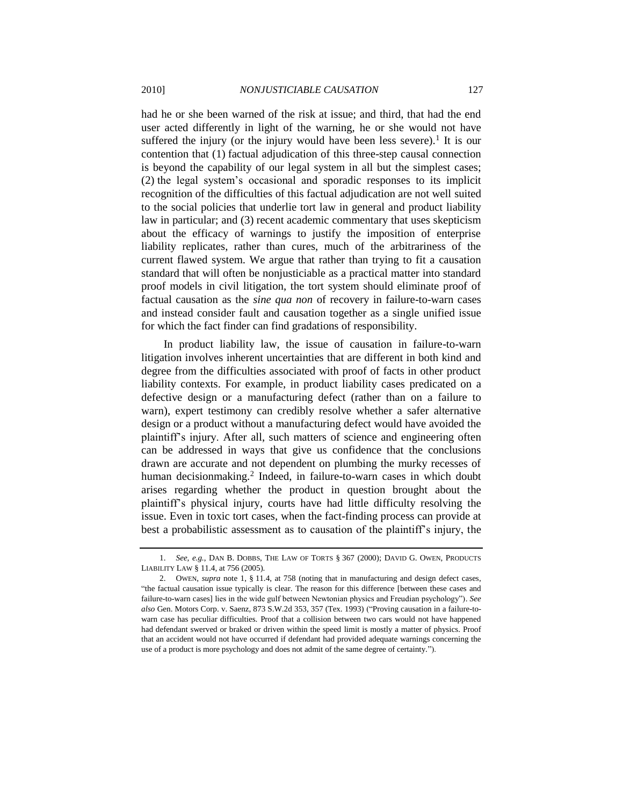<span id="page-2-0"></span>had he or she been warned of the risk at issue; and third, that had the end user acted differently in light of the warning, he or she would not have suffered the injury (or the injury would have been less severe).<sup>1</sup> It is our contention that (1) factual adjudication of this three-step causal connection is beyond the capability of our legal system in all but the simplest cases; (2) the legal system's occasional and sporadic responses to its implicit recognition of the difficulties of this factual adjudication are not well suited to the social policies that underlie tort law in general and product liability law in particular; and (3) recent academic commentary that uses skepticism about the efficacy of warnings to justify the imposition of enterprise liability replicates, rather than cures, much of the arbitrariness of the current flawed system. We argue that rather than trying to fit a causation standard that will often be nonjusticiable as a practical matter into standard proof models in civil litigation, the tort system should eliminate proof of factual causation as the *sine qua non* of recovery in failure-to-warn cases and instead consider fault and causation together as a single unified issue for which the fact finder can find gradations of responsibility.

In product liability law, the issue of causation in failure-to-warn litigation involves inherent uncertainties that are different in both kind and degree from the difficulties associated with proof of facts in other product liability contexts. For example, in product liability cases predicated on a defective design or a manufacturing defect (rather than on a failure to warn), expert testimony can credibly resolve whether a safer alternative design or a product without a manufacturing defect would have avoided the plaintiff's injury. After all, such matters of science and engineering often can be addressed in ways that give us confidence that the conclusions drawn are accurate and not dependent on plumbing the murky recesses of human decisionmaking.<sup>2</sup> Indeed, in failure-to-warn cases in which doubt arises regarding whether the product in question brought about the plaintiff's physical injury, courts have had little difficulty resolving the issue. Even in toxic tort cases, when the fact-finding process can provide at best a probabilistic assessment as to causation of the plaintiff's injury, the

<sup>1.</sup> *See, e.g.*, DAN B. DOBBS, THE LAW OF TORTS § 367 (2000); DAVID G. OWEN, PRODUCTS LIABILITY LAW § 11.4, at 756 (2005).

<sup>2.</sup> OWEN, *supra* note [1,](#page-2-0) § 11.4, at 758 (noting that in manufacturing and design defect cases, ―the factual causation issue typically is clear. The reason for this difference [between these cases and failure-to-warn cases] lies in the wide gulf between Newtonian physics and Freudian psychology"). See also Gen. Motors Corp. v. Saenz, 873 S.W.2d 353, 357 (Tex. 1993) ("Proving causation in a failure-towarn case has peculiar difficulties. Proof that a collision between two cars would not have happened had defendant swerved or braked or driven within the speed limit is mostly a matter of physics. Proof that an accident would not have occurred if defendant had provided adequate warnings concerning the use of a product is more psychology and does not admit of the same degree of certainty.").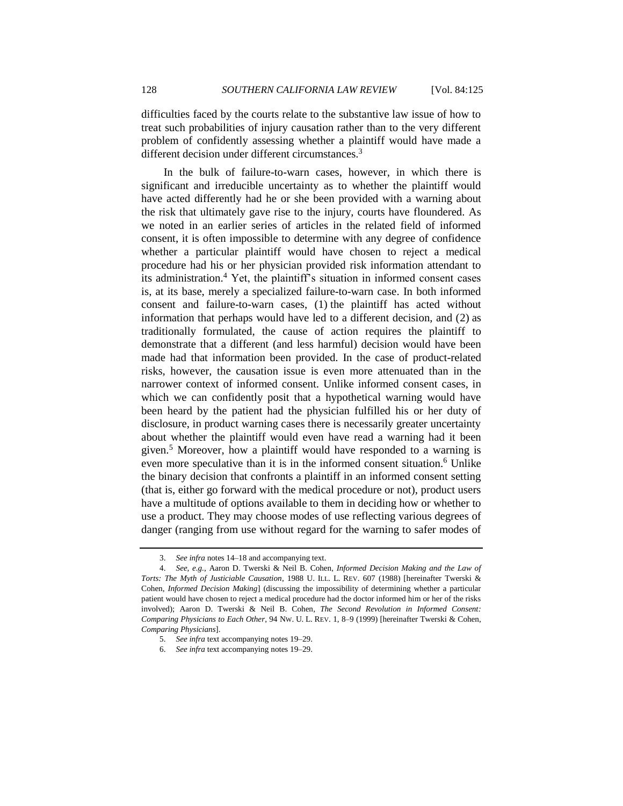difficulties faced by the courts relate to the substantive law issue of how to treat such probabilities of injury causation rather than to the very different problem of confidently assessing whether a plaintiff would have made a different decision under different circumstances.<sup>3</sup>

<span id="page-3-0"></span>In the bulk of failure-to-warn cases, however, in which there is significant and irreducible uncertainty as to whether the plaintiff would have acted differently had he or she been provided with a warning about the risk that ultimately gave rise to the injury, courts have floundered. As we noted in an earlier series of articles in the related field of informed consent, it is often impossible to determine with any degree of confidence whether a particular plaintiff would have chosen to reject a medical procedure had his or her physician provided risk information attendant to its administration.<sup>4</sup> Yet, the plaintiff's situation in informed consent cases is, at its base, merely a specialized failure-to-warn case. In both informed consent and failure-to-warn cases, (1) the plaintiff has acted without information that perhaps would have led to a different decision, and (2) as traditionally formulated, the cause of action requires the plaintiff to demonstrate that a different (and less harmful) decision would have been made had that information been provided. In the case of product-related risks, however, the causation issue is even more attenuated than in the narrower context of informed consent. Unlike informed consent cases, in which we can confidently posit that a hypothetical warning would have been heard by the patient had the physician fulfilled his or her duty of disclosure, in product warning cases there is necessarily greater uncertainty about whether the plaintiff would even have read a warning had it been given.<sup>5</sup> Moreover, how a plaintiff would have responded to a warning is even more speculative than it is in the informed consent situation.<sup>6</sup> Unlike the binary decision that confronts a plaintiff in an informed consent setting (that is, either go forward with the medical procedure or not), product users have a multitude of options available to them in deciding how or whether to use a product. They may choose modes of use reflecting various degrees of danger (ranging from use without regard for the warning to safer modes of

<sup>3.</sup> *See infra* notes [14](#page-6-1)[–18](#page-6-2) and accompanying text.

<sup>4.</sup> *See, e.g.*, Aaron D. Twerski & Neil B. Cohen, *Informed Decision Making and the Law of Torts: The Myth of Justiciable Causation*, 1988 U. ILL. L. REV. 607 (1988) [hereinafter Twerski & Cohen, *Informed Decision Making*] (discussing the impossibility of determining whether a particular patient would have chosen to reject a medical procedure had the doctor informed him or her of the risks involved); Aaron D. Twerski & Neil B. Cohen, *The Second Revolution in Informed Consent: Comparing Physicians to Each Other*, 94 NW. U. L. REV. 1, 8–9 (1999) [hereinafter Twerski & Cohen, *Comparing Physicians*].

<sup>5.</sup> *See infra* text accompanying notes [19](#page-7-0)[–29.](#page-11-1)

<sup>6.</sup> *See infra* text accompanying notes [19](#page-7-0)[–29.](#page-11-1)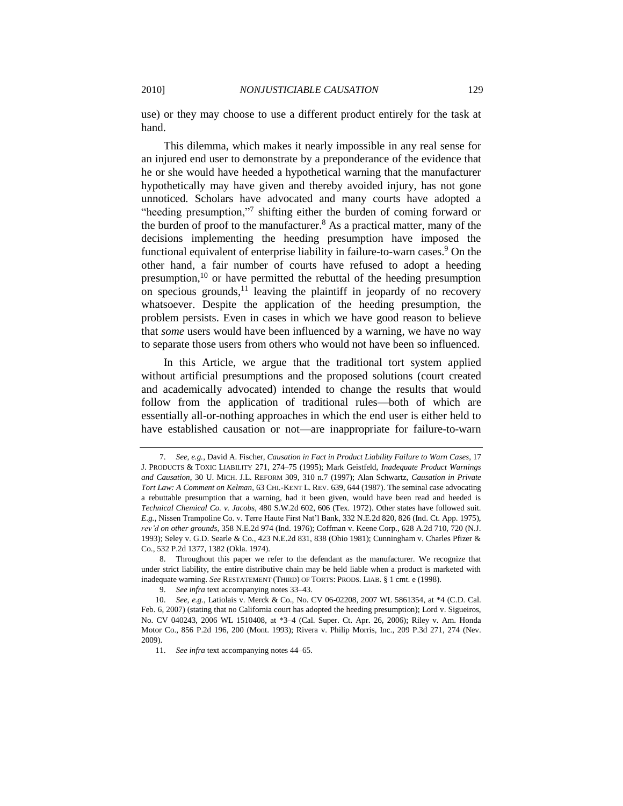use) or they may choose to use a different product entirely for the task at hand.

This dilemma, which makes it nearly impossible in any real sense for an injured end user to demonstrate by a preponderance of the evidence that he or she would have heeded a hypothetical warning that the manufacturer hypothetically may have given and thereby avoided injury, has not gone unnoticed. Scholars have advocated and many courts have adopted a "heeding presumption,"7 shifting either the burden of coming forward or the burden of proof to the manufacturer.<sup>8</sup> As a practical matter, many of the decisions implementing the heeding presumption have imposed the functional equivalent of enterprise liability in failure-to-warn cases.<sup>9</sup> On the other hand, a fair number of courts have refused to adopt a heeding presumption,<sup>10</sup> or have permitted the rebuttal of the heeding presumption on specious grounds, $11$  leaving the plaintiff in jeopardy of no recovery whatsoever. Despite the application of the heeding presumption, the problem persists. Even in cases in which we have good reason to believe that *some* users would have been influenced by a warning, we have no way to separate those users from others who would not have been so influenced.

In this Article, we argue that the traditional tort system applied without artificial presumptions and the proposed solutions (court created and academically advocated) intended to change the results that would follow from the application of traditional rules—both of which are essentially all-or-nothing approaches in which the end user is either held to have established causation or not—are inappropriate for failure-to-warn

<sup>7.</sup> *See, e.g.*, David A. Fischer, *Causation in Fact in Product Liability Failure to Warn Cases*, 17 J. PRODUCTS & TOXIC LIABILITY 271, 274–75 (1995); Mark Geistfeld, *Inadequate Product Warnings and Causation*, 30 U. MICH. J.L. REFORM 309, 310 n.7 (1997); Alan Schwartz, *Causation in Private Tort Law: A Comment on Kelman*, 63 CHI.-KENT L. REV. 639, 644 (1987). The seminal case advocating a rebuttable presumption that a warning, had it been given, would have been read and heeded is *Technical Chemical Co. v. Jacobs*, 480 S.W.2d 602, 606 (Tex. 1972). Other states have followed suit. *E.g.*, Nissen Trampoline Co. v. Terre Haute First Nat'l Bank, 332 N.E.2d 820, 826 (Ind. Ct. App. 1975), *rev'd on other grounds*, 358 N.E.2d 974 (Ind. 1976); Coffman v. Keene Corp., 628 A.2d 710, 720 (N.J. 1993); Seley v. G.D. Searle & Co., 423 N.E.2d 831, 838 (Ohio 1981); Cunningham v. Charles Pfizer & Co., 532 P.2d 1377, 1382 (Okla. 1974).

<sup>8.</sup> Throughout this paper we refer to the defendant as the manufacturer. We recognize that under strict liability, the entire distributive chain may be held liable when a product is marketed with inadequate warning. *See* RESTATEMENT (THIRD) OF TORTS: PRODS. LIAB. § 1 cmt. e (1998).

<sup>9.</sup> *See infra* text accompanying notes [33](#page-12-0)[–43.](#page-15-0)

<sup>10.</sup> *See, e.g.*, Latiolais v. Merck & Co., No. CV 06-02208, 2007 WL 5861354, at \*4 (C.D. Cal. Feb. 6, 2007) (stating that no California court has adopted the heeding presumption); Lord v. Sigueiros, No. CV 040243, 2006 WL 1510408, at \*3–4 (Cal. Super. Ct. Apr. 26, 2006); Riley v. Am. Honda Motor Co., 856 P.2d 196, 200 (Mont. 1993); Rivera v. Philip Morris, Inc., 209 P.3d 271, 274 (Nev. 2009).

<sup>11.</sup> *See infra* text accompanying notes [44](#page-15-1)[–65.](#page-18-1)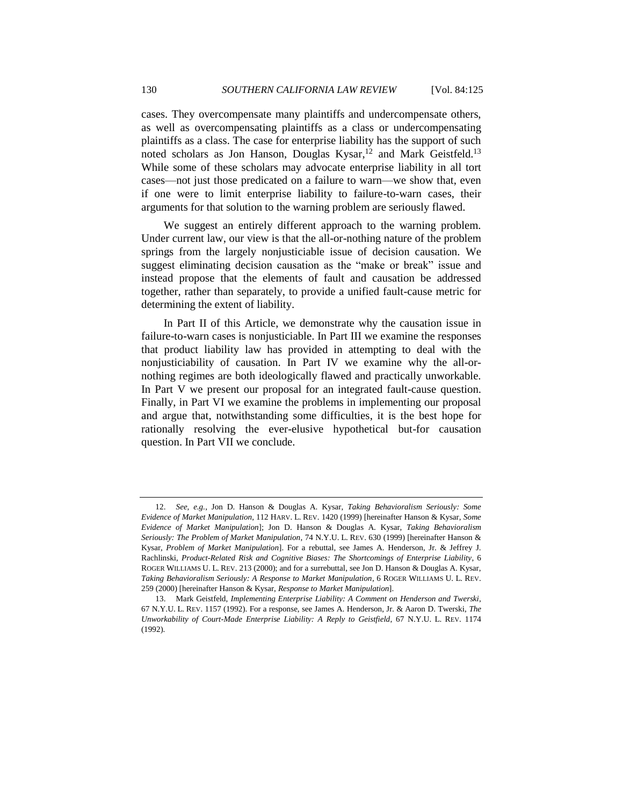<span id="page-5-1"></span><span id="page-5-0"></span>cases. They overcompensate many plaintiffs and undercompensate others, as well as overcompensating plaintiffs as a class or undercompensating plaintiffs as a class. The case for enterprise liability has the support of such noted scholars as Jon Hanson, Douglas Kysar,<sup>12</sup> and Mark Geistfeld.<sup>13</sup> While some of these scholars may advocate enterprise liability in all tort cases—not just those predicated on a failure to warn—we show that, even if one were to limit enterprise liability to failure-to-warn cases, their arguments for that solution to the warning problem are seriously flawed.

We suggest an entirely different approach to the warning problem. Under current law, our view is that the all-or-nothing nature of the problem springs from the largely nonjusticiable issue of decision causation. We suggest eliminating decision causation as the "make or break" issue and instead propose that the elements of fault and causation be addressed together, rather than separately, to provide a unified fault-cause metric for determining the extent of liability.

In Part II of this Article, we demonstrate why the causation issue in failure-to-warn cases is nonjusticiable. In Part III we examine the responses that product liability law has provided in attempting to deal with the nonjusticiability of causation. In Part IV we examine why the all-ornothing regimes are both ideologically flawed and practically unworkable. In Part V we present our proposal for an integrated fault-cause question. Finally, in Part VI we examine the problems in implementing our proposal and argue that, notwithstanding some difficulties, it is the best hope for rationally resolving the ever-elusive hypothetical but-for causation question. In Part VII we conclude.

<sup>12.</sup> *See, e.g.*, Jon D. Hanson & Douglas A. Kysar, *Taking Behavioralism Seriously: Some Evidence of Market Manipulation*, 112 HARV. L. REV. 1420 (1999) [hereinafter Hanson & Kysar, *Some Evidence of Market Manipulation*]; Jon D. Hanson & Douglas A. Kysar, *Taking Behavioralism Seriously: The Problem of Market Manipulation*, 74 N.Y.U. L. REV. 630 (1999) [hereinafter Hanson & Kysar, *Problem of Market Manipulation*]. For a rebuttal, see James A. Henderson, Jr. & Jeffrey J. Rachlinski, *Product-Related Risk and Cognitive Biases: The Shortcomings of Enterprise Liability*, 6 ROGER WILLIAMS U. L. REV. 213 (2000); and for a surrebuttal, see Jon D. Hanson & Douglas A. Kysar, *Taking Behavioralism Seriously: A Response to Market Manipulation*, 6 ROGER WILLIAMS U. L. REV. 259 (2000) [hereinafter Hanson & Kysar, *Response to Market Manipulation*].

<sup>13.</sup> Mark Geistfeld, *Implementing Enterprise Liability: A Comment on Henderson and Twerski*, 67 N.Y.U. L. REV. 1157 (1992). For a response, see James A. Henderson, Jr. & Aaron D. Twerski, *The Unworkability of Court-Made Enterprise Liability: A Reply to Geistfield*, 67 N.Y.U. L. REV. 1174 (1992).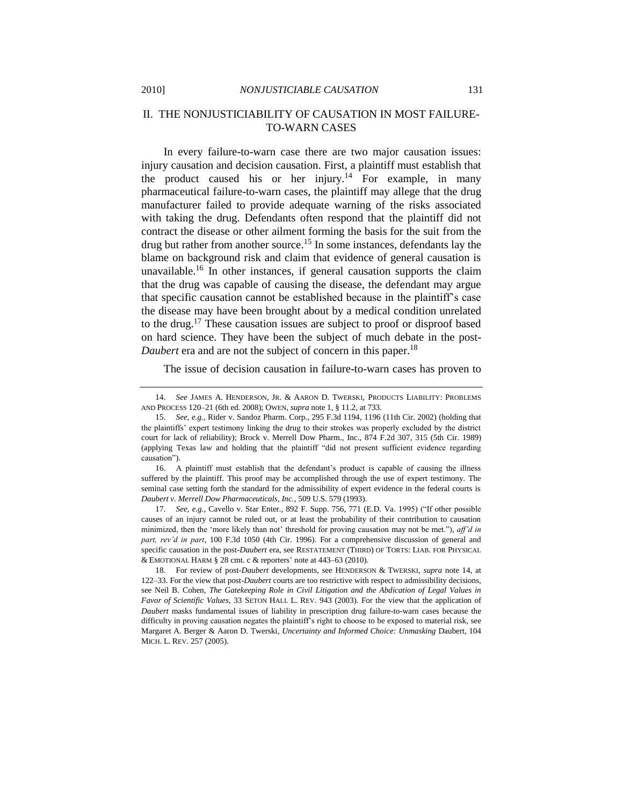# <span id="page-6-0"></span>II. THE NONJUSTICIABILITY OF CAUSATION IN MOST FAILURE-TO-WARN CASES

<span id="page-6-1"></span>In every failure-to-warn case there are two major causation issues: injury causation and decision causation. First, a plaintiff must establish that the product caused his or her injury.<sup>14</sup> For example, in many pharmaceutical failure-to-warn cases, the plaintiff may allege that the drug manufacturer failed to provide adequate warning of the risks associated with taking the drug. Defendants often respond that the plaintiff did not contract the disease or other ailment forming the basis for the suit from the drug but rather from another source.<sup>15</sup> In some instances, defendants lay the blame on background risk and claim that evidence of general causation is unavailable.<sup>16</sup> In other instances, if general causation supports the claim that the drug was capable of causing the disease, the defendant may argue that specific causation cannot be established because in the plaintiff's case the disease may have been brought about by a medical condition unrelated to the drug.<sup>17</sup> These causation issues are subject to proof or disproof based on hard science. They have been the subject of much debate in the post-*Daubert* era and are not the subject of concern in this paper.<sup>18</sup>

<span id="page-6-2"></span>The issue of decision causation in failure-to-warn cases has proven to

16. A plaintiff must establish that the defendant's product is capable of causing the illness suffered by the plaintiff. This proof may be accomplished through the use of expert testimony. The seminal case setting forth the standard for the admissibility of expert evidence in the federal courts is *Daubert v. Merrell Dow Pharmaceuticals, Inc.*, 509 U.S. 579 (1993).

17. *See, e.g.*, Cavello v. Star Enter., 892 F. Supp. 756, 771 (E.D. Va. 1995) ("If other possible causes of an injury cannot be ruled out, or at least the probability of their contribution to causation minimized, then the 'more likely than not' threshold for proving causation may not be met."), *aff'd in part, rev'd in part*, 100 F.3d 1050 (4th Cir. 1996). For a comprehensive discussion of general and specific causation in the post-*Daubert* era, see RESTATEMENT (THIRD) OF TORTS: LIAB. FOR PHYSICAL & EMOTIONAL HARM § 28 cmt. c & reporters' note at 443–63 (2010).

18. For review of post-*Daubert* developments, see HENDERSON & TWERSKI, *supra* note [14,](#page-6-1) at 122–33. For the view that post-*Daubert* courts are too restrictive with respect to admissibility decisions, see Neil B. Cohen, *The Gatekeeping Role in Civil Litigation and the Abdication of Legal Values in Favor of Scientific Values*, 33 SETON HALL L. REV. 943 (2003). For the view that the application of *Daubert* masks fundamental issues of liability in prescription drug failure-to-warn cases because the difficulty in proving causation negates the plaintiff's right to choose to be exposed to material risk, see Margaret A. Berger & Aaron D. Twerski, *Uncertainty and Informed Choice: Unmasking* Daubert, 104 MICH. L. REV. 257 (2005).

<sup>14.</sup> *See* JAMES A. HENDERSON, JR. & AARON D. TWERSKI, PRODUCTS LIABILITY: PROBLEMS AND PROCESS 120–21 (6th ed. 2008); OWEN, *supra* not[e 1,](#page-2-0) § 11.2, at 733.

<sup>15.</sup> *See, e.g.*, Rider v. Sandoz Pharm. Corp., 295 F.3d 1194, 1196 (11th Cir. 2002) (holding that the plaintiffs' expert testimony linking the drug to their strokes was properly excluded by the district court for lack of reliability); Brock v. Merrell Dow Pharm., Inc., 874 F.2d 307, 315 (5th Cir. 1989) (applying Texas law and holding that the plaintiff "did not present sufficient evidence regarding causation").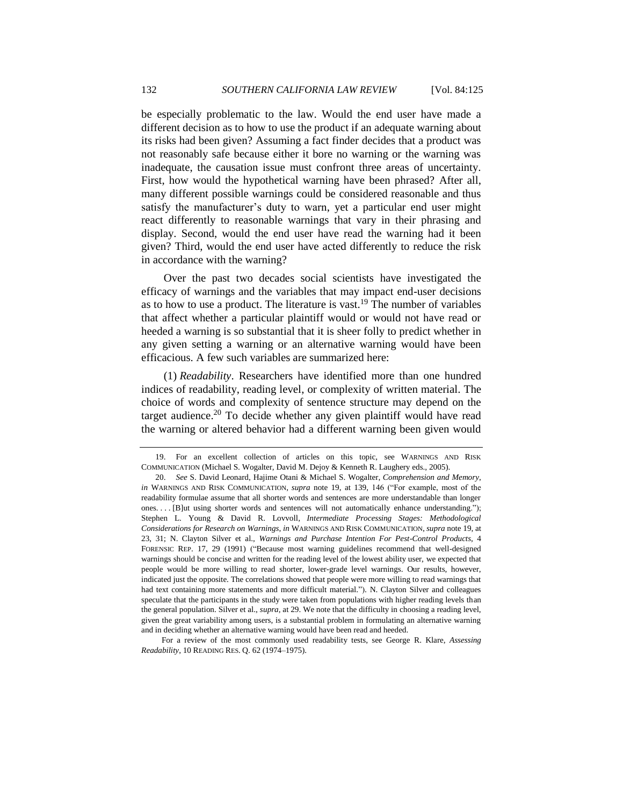be especially problematic to the law. Would the end user have made a different decision as to how to use the product if an adequate warning about its risks had been given? Assuming a fact finder decides that a product was not reasonably safe because either it bore no warning or the warning was inadequate, the causation issue must confront three areas of uncertainty. First, how would the hypothetical warning have been phrased? After all, many different possible warnings could be considered reasonable and thus satisfy the manufacturer's duty to warn, yet a particular end user might react differently to reasonable warnings that vary in their phrasing and display. Second, would the end user have read the warning had it been given? Third, would the end user have acted differently to reduce the risk in accordance with the warning?

<span id="page-7-0"></span>Over the past two decades social scientists have investigated the efficacy of warnings and the variables that may impact end-user decisions as to how to use a product. The literature is vast.<sup>19</sup> The number of variables that affect whether a particular plaintiff would or would not have read or heeded a warning is so substantial that it is sheer folly to predict whether in any given setting a warning or an alternative warning would have been efficacious. A few such variables are summarized here:

<span id="page-7-1"></span>(1) *Readability*. Researchers have identified more than one hundred indices of readability, reading level, or complexity of written material. The choice of words and complexity of sentence structure may depend on the target audience.<sup>20</sup> To decide whether any given plaintiff would have read the warning or altered behavior had a different warning been given would

For a review of the most commonly used readability tests, see George R. Klare, *Assessing Readability*, 10 READING RES. Q. 62 (1974–1975).

<sup>19.</sup> For an excellent collection of articles on this topic, see WARNINGS AND RISK COMMUNICATION (Michael S. Wogalter, David M. Dejoy & Kenneth R. Laughery eds., 2005).

<sup>20.</sup> *See* S. David Leonard, Hajime Otani & Michael S. Wogalter, *Comprehension and Memory*, *in* WARNINGS AND RISK COMMUNICATION, *supra* note [19,](#page-7-0) at 139, 146 ("For example, most of the readability formulae assume that all shorter words and sentences are more understandable than longer ones. . . . [B]ut using shorter words and sentences will not automatically enhance understanding."); Stephen L. Young & David R. Lovvoll*, Intermediate Processing Stages: Methodological Considerations for Research on Warnings*, *in* WARNINGS AND RISK COMMUNICATION, *supra* not[e 19,](#page-7-0) at 23, 31; N. Clayton Silver et al., *Warnings and Purchase Intention For Pest-Control Products*, 4 FORENSIC REP. 17, 29 (1991) ("Because most warning guidelines recommend that well-designed warnings should be concise and written for the reading level of the lowest ability user, we expected that people would be more willing to read shorter, lower-grade level warnings. Our results, however, indicated just the opposite. The correlations showed that people were more willing to read warnings that had text containing more statements and more difficult material."). N. Clayton Silver and colleagues speculate that the participants in the study were taken from populations with higher reading levels than the general population. Silver et al., *supra*, at 29. We note that the difficulty in choosing a reading level, given the great variability among users, is a substantial problem in formulating an alternative warning and in deciding whether an alternative warning would have been read and heeded.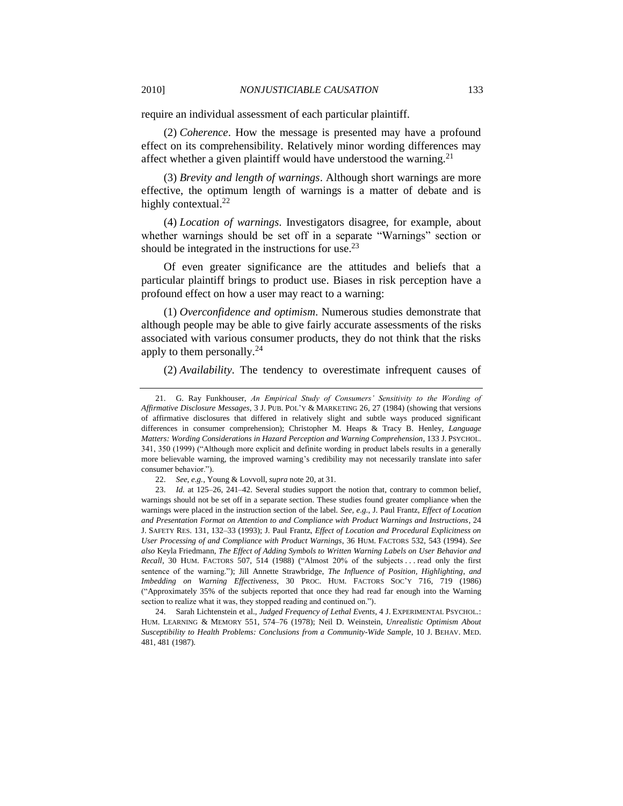require an individual assessment of each particular plaintiff.

(2) *Coherence*. How the message is presented may have a profound effect on its comprehensibility. Relatively minor wording differences may affect whether a given plaintiff would have understood the warning.<sup>21</sup>

(3) *Brevity and length of warnings*. Although short warnings are more effective, the optimum length of warnings is a matter of debate and is highly contextual.<sup>22</sup>

<span id="page-8-0"></span>(4) *Location of warnings*. Investigators disagree, for example, about whether warnings should be set off in a separate "Warnings" section or should be integrated in the instructions for use. $2<sup>3</sup>$ 

Of even greater significance are the attitudes and beliefs that a particular plaintiff brings to product use. Biases in risk perception have a profound effect on how a user may react to a warning:

(1) *Overconfidence and optimism*. Numerous studies demonstrate that although people may be able to give fairly accurate assessments of the risks associated with various consumer products, they do not think that the risks apply to them personally.<sup>24</sup>

(2) *Availability*. The tendency to overestimate infrequent causes of

24. Sarah Lichtenstein et al., *Judged Frequency of Lethal Events*, 4 J. EXPERIMENTAL PSYCHOL.: HUM. LEARNING & MEMORY 551, 574–76 (1978); Neil D. Weinstein, *Unrealistic Optimism About Susceptibility to Health Problems: Conclusions from a Community-Wide Sample*, 10 J. BEHAV. MED. 481, 481 (1987).

<sup>21.</sup> G. Ray Funkhouser, *An Empirical Study of Consumers' Sensitivity to the Wording of Affirmative Disclosure Messages*, 3 J. PUB. POL'Y & MARKETING 26, 27 (1984) (showing that versions of affirmative disclosures that differed in relatively slight and subtle ways produced significant differences in consumer comprehension); Christopher M. Heaps & Tracy B. Henley, *Language Matters: Wording Considerations in Hazard Perception and Warning Comprehension*, 133 J. PSYCHOL. 341, 350 (1999) ("Although more explicit and definite wording in product labels results in a generally more believable warning, the improved warning's credibility may not necessarily translate into safer consumer behavior.").

<sup>22.</sup> *See, e.g.*, Young & Lovvoll, *supra* not[e 20,](#page-7-1) at 31.

<sup>23.</sup> *Id.* at 125–26, 241–42. Several studies support the notion that, contrary to common belief, warnings should not be set off in a separate section. These studies found greater compliance when the warnings were placed in the instruction section of the label. *See, e.g.*, J. Paul Frantz, *Effect of Location and Presentation Format on Attention to and Compliance with Product Warnings and Instructions*, 24 J. SAFETY RES. 131, 132–33 (1993); J. Paul Frantz, *Effect of Location and Procedural Explicitness on User Processing of and Compliance with Product Warnings*, 36 HUM. FACTORS 532, 543 (1994). *See also* Keyla Friedmann, *The Effect of Adding Symbols to Written Warning Labels on User Behavior and Recall*, 30 HUM. FACTORS 507, 514 (1988) ("Almost  $20%$  of the subjects . . . read only the first sentence of the warning."); Jill Annette Strawbridge, *The Influence of Position, Highlighting, and Imbedding on Warning Effectiveness*, 30 PROC. HUM. FACTORS SOC'Y 716, 719 (1986) (―Approximately 35% of the subjects reported that once they had read far enough into the Warning section to realize what it was, they stopped reading and continued on.").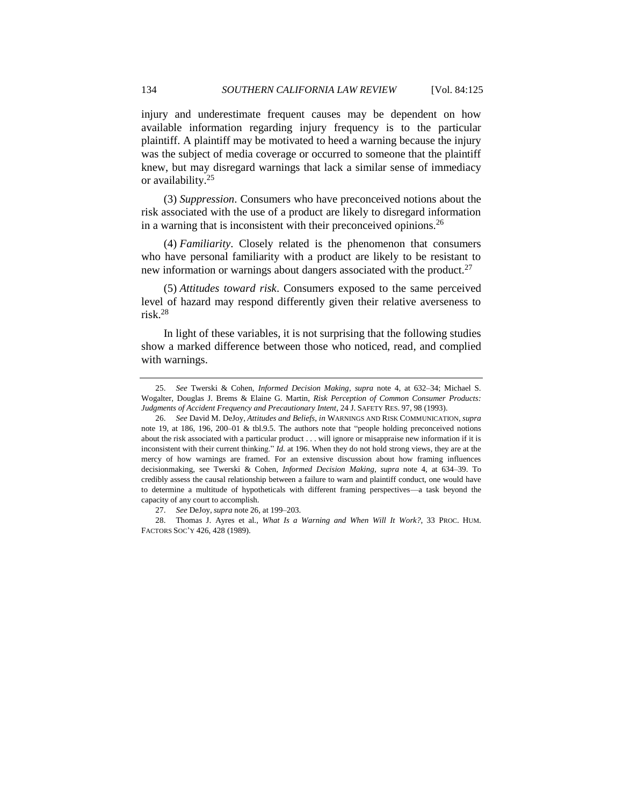injury and underestimate frequent causes may be dependent on how available information regarding injury frequency is to the particular plaintiff. A plaintiff may be motivated to heed a warning because the injury was the subject of media coverage or occurred to someone that the plaintiff knew, but may disregard warnings that lack a similar sense of immediacy or availability.<sup>25</sup>

(3) *Suppression*. Consumers who have preconceived notions about the risk associated with the use of a product are likely to disregard information in a warning that is inconsistent with their preconceived opinions.  $2<sup>6</sup>$ 

<span id="page-9-0"></span>(4) *Familiarity*. Closely related is the phenomenon that consumers who have personal familiarity with a product are likely to be resistant to new information or warnings about dangers associated with the product.<sup>27</sup>

(5) *Attitudes toward risk*. Consumers exposed to the same perceived level of hazard may respond differently given their relative averseness to risk.<sup>28</sup>

In light of these variables, it is not surprising that the following studies show a marked difference between those who noticed, read, and complied with warnings.

<sup>25.</sup> *See* Twerski & Cohen, *Informed Decision Making*, *supra* note [4,](#page-3-0) at 632–34; Michael S. Wogalter, Douglas J. Brems & Elaine G. Martin, *Risk Perception of Common Consumer Products: Judgments of Accident Frequency and Precautionary Intent*, 24 J. SAFETY RES. 97, 98 (1993).

<sup>26.</sup> *See* David M. DeJoy, *Attitudes and Beliefs*, *in* WARNINGS AND RISK COMMUNICATION, *supra*  note [19,](#page-7-0) at 186, 196, 200-01 & tbl.9.5. The authors note that "people holding preconceived notions about the risk associated with a particular product . . . will ignore or misappraise new information if it is inconsistent with their current thinking." *Id.* at 196. When they do not hold strong views, they are at the mercy of how warnings are framed. For an extensive discussion about how framing influences decisionmaking, see Twerski & Cohen, *Informed Decision Making*, *supra* note [4,](#page-3-0) at 634–39. To credibly assess the causal relationship between a failure to warn and plaintiff conduct, one would have to determine a multitude of hypotheticals with different framing perspectives—a task beyond the capacity of any court to accomplish.

<sup>27.</sup> *See* DeJoy, *supra* not[e 26,](#page-9-0) at 199–203.

<sup>28.</sup> Thomas J. Ayres et al., *What Is a Warning and When Will It Work?*, 33 PROC. HUM. FACTORS SOC'Y 426, 428 (1989).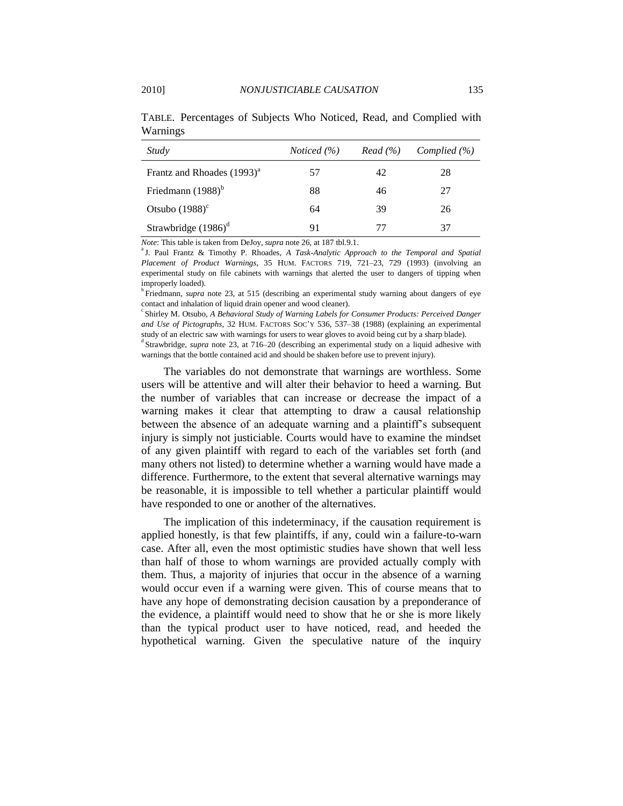| Study                                  | <i>Noticed</i> $(\%)$ | Read (%) | Complied $(\% )$ |
|----------------------------------------|-----------------------|----------|------------------|
| Frantz and Rhoades (1993) <sup>a</sup> | 57                    | 42       | 28               |
| Friedmann $(1988)^{b}$                 | 88                    | 46       | 27               |
| Otsubo $(1988)^c$                      | 64                    | 39       | 26               |
| Strawbridge $(1986)^d$                 | 91                    | 77       | 37               |

TABLE. Percentages of Subjects Who Noticed, Read, and Complied with Warnings

*Note*: This table is taken from DeJoy, *supra* not[e 26,](#page-9-0) at 187 tbl.9.1.

<sup>a</sup> J. Paul Frantz & Timothy P. Rhoades, *A Task-Analytic Approach to the Temporal and Spatial Placement of Product Warnings*, 35 HUM. FACTORS 719, 721–23, 729 (1993) (involving an experimental study on file cabinets with warnings that alerted the user to dangers of tipping when improperly loaded).

<sup>b</sup> Friedmann, *supra* note [23,](#page-8-0) at 515 (describing an experimental study warning about dangers of eye contact and inhalation of liquid drain opener and wood cleaner).

c Shirley M. Otsubo, *A Behavioral Study of Warning Labels for Consumer Products: Perceived Danger and Use of Pictographs*, 32 HUM. FACTORS SOC'Y 536, 537–38 (1988) (explaining an experimental study of an electric saw with warnings for users to wear gloves to avoid being cut by a sharp blade).

<sup>d</sup> Strawbridge, *supra* note [23,](#page-8-0) at 716–20 (describing an experimental study on a liquid adhesive with warnings that the bottle contained acid and should be shaken before use to prevent injury).

The variables do not demonstrate that warnings are worthless. Some users will be attentive and will alter their behavior to heed a warning. But the number of variables that can increase or decrease the impact of a warning makes it clear that attempting to draw a causal relationship between the absence of an adequate warning and a plaintiff's subsequent injury is simply not justiciable. Courts would have to examine the mindset of any given plaintiff with regard to each of the variables set forth (and many others not listed) to determine whether a warning would have made a difference. Furthermore, to the extent that several alternative warnings may be reasonable, it is impossible to tell whether a particular plaintiff would have responded to one or another of the alternatives.

The implication of this indeterminacy, if the causation requirement is applied honestly, is that few plaintiffs, if any, could win a failure-to-warn case. After all, even the most optimistic studies have shown that well less than half of those to whom warnings are provided actually comply with them. Thus, a majority of injuries that occur in the absence of a warning would occur even if a warning were given. This of course means that to have any hope of demonstrating decision causation by a preponderance of the evidence, a plaintiff would need to show that he or she is more likely than the typical product user to have noticed, read, and heeded the hypothetical warning. Given the speculative nature of the inquiry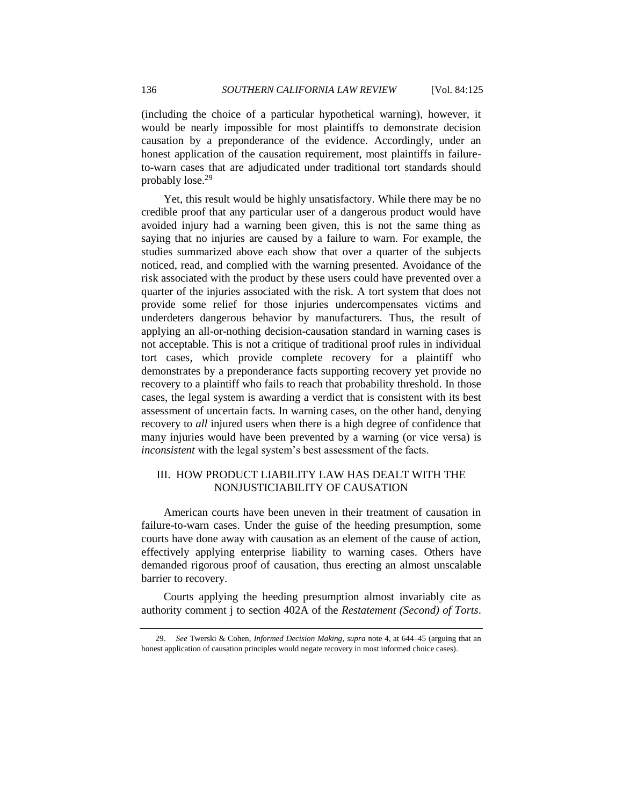(including the choice of a particular hypothetical warning), however, it would be nearly impossible for most plaintiffs to demonstrate decision causation by a preponderance of the evidence. Accordingly, under an honest application of the causation requirement, most plaintiffs in failureto-warn cases that are adjudicated under traditional tort standards should probably lose. 29

<span id="page-11-1"></span>Yet, this result would be highly unsatisfactory. While there may be no credible proof that any particular user of a dangerous product would have avoided injury had a warning been given, this is not the same thing as saying that no injuries are caused by a failure to warn. For example, the studies summarized above each show that over a quarter of the subjects noticed, read, and complied with the warning presented. Avoidance of the risk associated with the product by these users could have prevented over a quarter of the injuries associated with the risk. A tort system that does not provide some relief for those injuries undercompensates victims and underdeters dangerous behavior by manufacturers. Thus, the result of applying an all-or-nothing decision-causation standard in warning cases is not acceptable. This is not a critique of traditional proof rules in individual tort cases, which provide complete recovery for a plaintiff who demonstrates by a preponderance facts supporting recovery yet provide no recovery to a plaintiff who fails to reach that probability threshold. In those cases, the legal system is awarding a verdict that is consistent with its best assessment of uncertain facts. In warning cases, on the other hand, denying recovery to *all* injured users when there is a high degree of confidence that many injuries would have been prevented by a warning (or vice versa) is *inconsistent* with the legal system's best assessment of the facts.

## <span id="page-11-0"></span>III. HOW PRODUCT LIABILITY LAW HAS DEALT WITH THE NONJUSTICIABILITY OF CAUSATION

American courts have been uneven in their treatment of causation in failure-to-warn cases. Under the guise of the heeding presumption, some courts have done away with causation as an element of the cause of action, effectively applying enterprise liability to warning cases. Others have demanded rigorous proof of causation, thus erecting an almost unscalable barrier to recovery.

Courts applying the heeding presumption almost invariably cite as authority comment j to section 402A of the *Restatement (Second) of Torts*.

<sup>29.</sup> *See* Twerski & Cohen, *Informed Decision Making*, *supra* note [4,](#page-3-0) at 644–45 (arguing that an honest application of causation principles would negate recovery in most informed choice cases).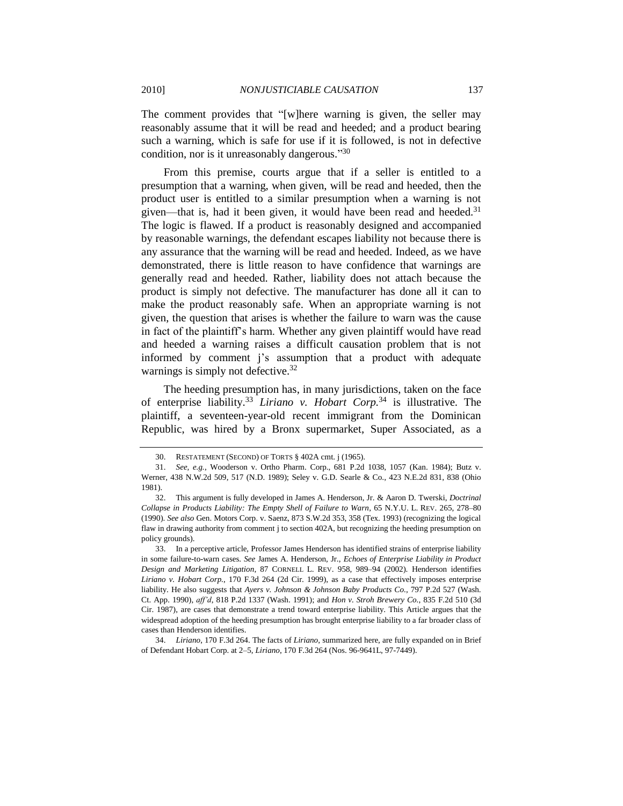The comment provides that "[w]here warning is given, the seller may reasonably assume that it will be read and heeded; and a product bearing such a warning, which is safe for use if it is followed, is not in defective condition, nor is it unreasonably dangerous."30

From this premise, courts argue that if a seller is entitled to a presumption that a warning, when given, will be read and heeded, then the product user is entitled to a similar presumption when a warning is not given—that is, had it been given, it would have been read and heeded. $31$ The logic is flawed. If a product is reasonably designed and accompanied by reasonable warnings, the defendant escapes liability not because there is any assurance that the warning will be read and heeded. Indeed, as we have demonstrated, there is little reason to have confidence that warnings are generally read and heeded. Rather, liability does not attach because the product is simply not defective. The manufacturer has done all it can to make the product reasonably safe. When an appropriate warning is not given, the question that arises is whether the failure to warn was the cause in fact of the plaintiff's harm. Whether any given plaintiff would have read and heeded a warning raises a difficult causation problem that is not informed by comment j's assumption that a product with adequate warnings is simply not defective.  $32$ 

<span id="page-12-0"></span>The heeding presumption has, in many jurisdictions, taken on the face of enterprise liability.<sup>33</sup> *Liriano v. Hobart Corp.*<sup>34</sup> is illustrative. The plaintiff, a seventeen-year-old recent immigrant from the Dominican Republic, was hired by a Bronx supermarket, Super Associated, as a

<span id="page-12-1"></span><sup>30.</sup> RESTATEMENT (SECOND) OF TORTS § 402A cmt. j (1965).

<sup>31.</sup> *See, e.g.*, Wooderson v. Ortho Pharm. Corp., 681 P.2d 1038, 1057 (Kan. 1984); Butz v. Werner, 438 N.W.2d 509, 517 (N.D. 1989); Seley v. G.D. Searle & Co., 423 N.E.2d 831, 838 (Ohio 1981).

<sup>32.</sup> This argument is fully developed in James A. Henderson, Jr. & Aaron D. Twerski, *Doctrinal Collapse in Products Liability: The Empty Shell of Failure to Warn*, 65 N.Y.U. L. REV. 265, 278–80 (1990). *See also* Gen. Motors Corp. v. Saenz, 873 S.W.2d 353, 358 (Tex. 1993) (recognizing the logical flaw in drawing authority from comment j to section 402A, but recognizing the heeding presumption on policy grounds).

<sup>33.</sup> In a perceptive article, Professor James Henderson has identified strains of enterprise liability in some failure-to-warn cases. *See* James A. Henderson, Jr., *Echoes of Enterprise Liability in Product Design and Marketing Litigation*, 87 CORNELL L. REV. 958, 989–94 (2002). Henderson identifies *Liriano v. Hobart Corp.*, 170 F.3d 264 (2d Cir. 1999), as a case that effectively imposes enterprise liability. He also suggests that *Ayers v. Johnson & Johnson Baby Products Co.*, 797 P.2d 527 (Wash. Ct. App. 1990), *aff'd*, 818 P.2d 1337 (Wash. 1991); and *Hon v. Stroh Brewery Co.*, 835 F.2d 510 (3d Cir. 1987), are cases that demonstrate a trend toward enterprise liability. This Article argues that the widespread adoption of the heeding presumption has brought enterprise liability to a far broader class of cases than Henderson identifies.

<sup>34.</sup> *Liriano*, 170 F.3d 264. The facts of *Liriano*, summarized here, are fully expanded on in Brief of Defendant Hobart Corp. at 2–5, *Liriano*, 170 F.3d 264 (Nos. 96-9641L, 97-7449).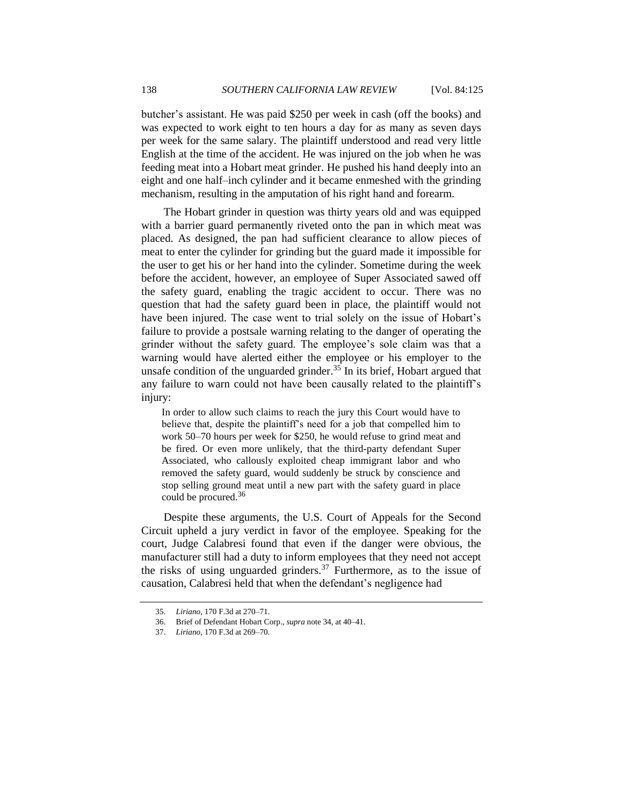butcher's assistant. He was paid \$250 per week in cash (off the books) and was expected to work eight to ten hours a day for as many as seven days per week for the same salary. The plaintiff understood and read very little English at the time of the accident. He was injured on the job when he was feeding meat into a Hobart meat grinder. He pushed his hand deeply into an eight and one half–inch cylinder and it became enmeshed with the grinding mechanism, resulting in the amputation of his right hand and forearm.

The Hobart grinder in question was thirty years old and was equipped with a barrier guard permanently riveted onto the pan in which meat was placed. As designed, the pan had sufficient clearance to allow pieces of meat to enter the cylinder for grinding but the guard made it impossible for the user to get his or her hand into the cylinder. Sometime during the week before the accident, however, an employee of Super Associated sawed off the safety guard, enabling the tragic accident to occur. There was no question that had the safety guard been in place, the plaintiff would not have been injured. The case went to trial solely on the issue of Hobart's failure to provide a postsale warning relating to the danger of operating the grinder without the safety guard. The employee's sole claim was that a warning would have alerted either the employee or his employer to the unsafe condition of the unguarded grinder.<sup>35</sup> In its brief, Hobart argued that any failure to warn could not have been causally related to the plaintiff's injury:

In order to allow such claims to reach the jury this Court would have to believe that, despite the plaintiff's need for a job that compelled him to work 50–70 hours per week for \$250, he would refuse to grind meat and be fired. Or even more unlikely, that the third-party defendant Super Associated, who callously exploited cheap immigrant labor and who removed the safety guard, would suddenly be struck by conscience and stop selling ground meat until a new part with the safety guard in place could be procured.<sup>36</sup>

Despite these arguments, the U.S. Court of Appeals for the Second Circuit upheld a jury verdict in favor of the employee. Speaking for the court, Judge Calabresi found that even if the danger were obvious, the manufacturer still had a duty to inform employees that they need not accept the risks of using unguarded grinders.<sup>37</sup> Furthermore, as to the issue of causation, Calabresi held that when the defendant's negligence had

<sup>35.</sup> *Liriano*, 170 F.3d at 270–71.

<sup>36.</sup> Brief of Defendant Hobart Corp., *supra* not[e 34,](#page-12-1) at 40–41.

<sup>37.</sup> *Liriano*, 170 F.3d at 269–70.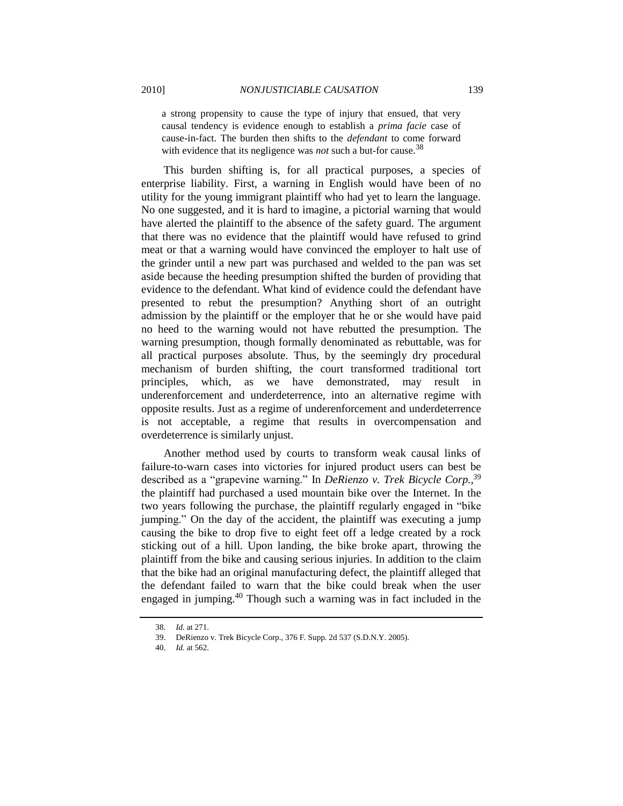a strong propensity to cause the type of injury that ensued, that very causal tendency is evidence enough to establish a *prima facie* case of cause-in-fact. The burden then shifts to the *defendant* to come forward with evidence that its negligence was *not* such a but-for cause.<sup>38</sup>

This burden shifting is, for all practical purposes, a species of enterprise liability. First, a warning in English would have been of no utility for the young immigrant plaintiff who had yet to learn the language. No one suggested, and it is hard to imagine, a pictorial warning that would have alerted the plaintiff to the absence of the safety guard. The argument that there was no evidence that the plaintiff would have refused to grind meat or that a warning would have convinced the employer to halt use of the grinder until a new part was purchased and welded to the pan was set aside because the heeding presumption shifted the burden of providing that evidence to the defendant. What kind of evidence could the defendant have presented to rebut the presumption? Anything short of an outright admission by the plaintiff or the employer that he or she would have paid no heed to the warning would not have rebutted the presumption. The warning presumption, though formally denominated as rebuttable, was for all practical purposes absolute. Thus, by the seemingly dry procedural mechanism of burden shifting, the court transformed traditional tort principles, which, as we have demonstrated, may result in underenforcement and underdeterrence, into an alternative regime with opposite results. Just as a regime of underenforcement and underdeterrence is not acceptable, a regime that results in overcompensation and overdeterrence is similarly unjust.

Another method used by courts to transform weak causal links of failure-to-warn cases into victories for injured product users can best be described as a "grapevine warning." In *DeRienzo v. Trek Bicycle Corp.*,<sup>39</sup> the plaintiff had purchased a used mountain bike over the Internet. In the two years following the purchase, the plaintiff regularly engaged in "bike" jumping." On the day of the accident, the plaintiff was executing a jump causing the bike to drop five to eight feet off a ledge created by a rock sticking out of a hill. Upon landing, the bike broke apart, throwing the plaintiff from the bike and causing serious injuries. In addition to the claim that the bike had an original manufacturing defect, the plaintiff alleged that the defendant failed to warn that the bike could break when the user engaged in jumping.<sup>40</sup> Though such a warning was in fact included in the

<sup>38.</sup> *Id.* at 271.

<sup>39.</sup> DeRienzo v. Trek Bicycle Corp., 376 F. Supp. 2d 537 (S.D.N.Y. 2005).

<sup>40.</sup> *Id.* at 562.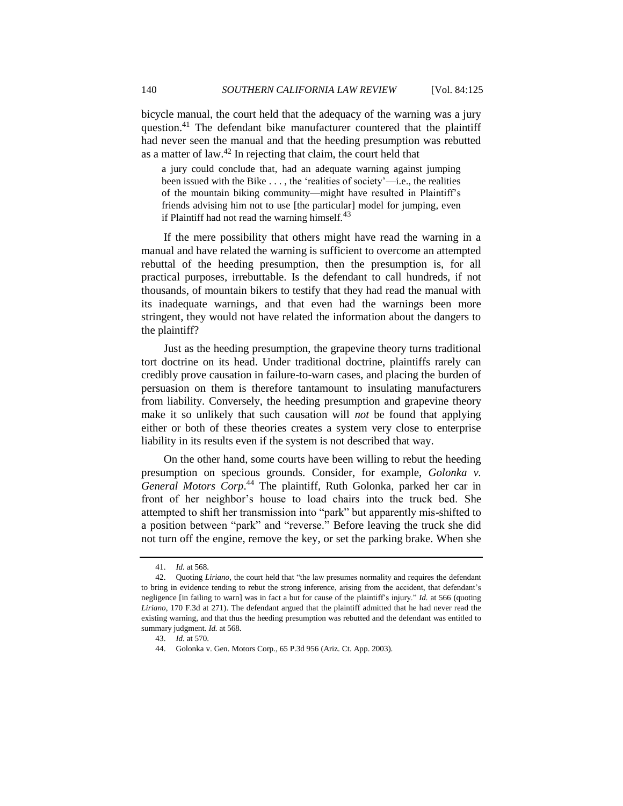bicycle manual, the court held that the adequacy of the warning was a jury question.<sup>41</sup> The defendant bike manufacturer countered that the plaintiff had never seen the manual and that the heeding presumption was rebutted as a matter of law.<sup>42</sup> In rejecting that claim, the court held that

<span id="page-15-0"></span>a jury could conclude that, had an adequate warning against jumping been issued with the Bike  $\dots$ , the 'realities of society'—i.e., the realities of the mountain biking community—might have resulted in Plaintiff's friends advising him not to use [the particular] model for jumping, even if Plaintiff had not read the warning himself. $^{43}$ 

If the mere possibility that others might have read the warning in a manual and have related the warning is sufficient to overcome an attempted rebuttal of the heeding presumption, then the presumption is, for all practical purposes, irrebuttable. Is the defendant to call hundreds, if not thousands, of mountain bikers to testify that they had read the manual with its inadequate warnings, and that even had the warnings been more stringent, they would not have related the information about the dangers to the plaintiff?

Just as the heeding presumption, the grapevine theory turns traditional tort doctrine on its head. Under traditional doctrine, plaintiffs rarely can credibly prove causation in failure-to-warn cases, and placing the burden of persuasion on them is therefore tantamount to insulating manufacturers from liability. Conversely, the heeding presumption and grapevine theory make it so unlikely that such causation will *not* be found that applying either or both of these theories creates a system very close to enterprise liability in its results even if the system is not described that way.

<span id="page-15-1"></span>On the other hand, some courts have been willing to rebut the heeding presumption on specious grounds. Consider, for example, *Golonka v. General Motors Corp*. <sup>44</sup> The plaintiff, Ruth Golonka, parked her car in front of her neighbor's house to load chairs into the truck bed. She attempted to shift her transmission into "park" but apparently mis-shifted to a position between "park" and "reverse." Before leaving the truck she did not turn off the engine, remove the key, or set the parking brake. When she

<sup>41.</sup> *Id.* at 568.

<sup>42.</sup> Quoting *Liriano*, the court held that "the law presumes normality and requires the defendant to bring in evidence tending to rebut the strong inference, arising from the accident, that defendant's negligence [in failing to warn] was in fact a but for cause of the plaintiff's injury." *Id.* at 566 (quoting *Liriano*, 170 F.3d at 271). The defendant argued that the plaintiff admitted that he had never read the existing warning, and that thus the heeding presumption was rebutted and the defendant was entitled to summary judgment. *Id.* at 568.

<sup>43.</sup> *Id.* at 570.

<sup>44.</sup> Golonka v. Gen. Motors Corp., 65 P.3d 956 (Ariz. Ct. App. 2003).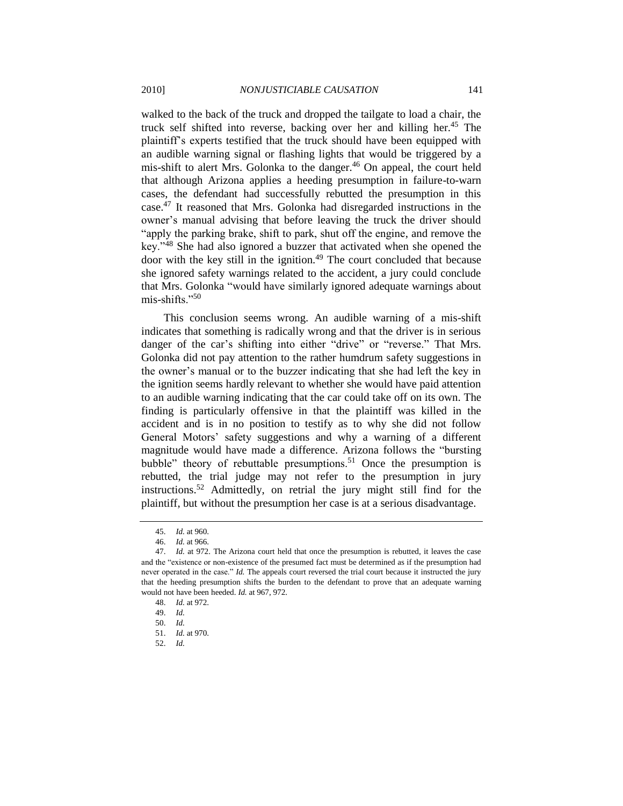walked to the back of the truck and dropped the tailgate to load a chair, the truck self shifted into reverse, backing over her and killing her.<sup>45</sup> The plaintiff's experts testified that the truck should have been equipped with an audible warning signal or flashing lights that would be triggered by a mis-shift to alert Mrs. Golonka to the danger.<sup>46</sup> On appeal, the court held that although Arizona applies a heeding presumption in failure-to-warn cases, the defendant had successfully rebutted the presumption in this case.<sup>47</sup> It reasoned that Mrs. Golonka had disregarded instructions in the owner's manual advising that before leaving the truck the driver should "apply the parking brake, shift to park, shut off the engine, and remove the key."<sup>48</sup> She had also ignored a buzzer that activated when she opened the door with the key still in the ignition. $49$  The court concluded that because she ignored safety warnings related to the accident, a jury could conclude that Mrs. Golonka "would have similarly ignored adequate warnings about mis-shifts." $50$ 

This conclusion seems wrong. An audible warning of a mis-shift indicates that something is radically wrong and that the driver is in serious danger of the car's shifting into either "drive" or "reverse." That Mrs. Golonka did not pay attention to the rather humdrum safety suggestions in the owner's manual or to the buzzer indicating that she had left the key in the ignition seems hardly relevant to whether she would have paid attention to an audible warning indicating that the car could take off on its own. The finding is particularly offensive in that the plaintiff was killed in the accident and is in no position to testify as to why she did not follow General Motors' safety suggestions and why a warning of a different magnitude would have made a difference. Arizona follows the "bursting" bubble" theory of rebuttable presumptions.<sup>51</sup> Once the presumption is rebutted, the trial judge may not refer to the presumption in jury instructions.<sup>52</sup> Admittedly, on retrial the jury might still find for the plaintiff, but without the presumption her case is at a serious disadvantage.

<sup>45.</sup> *Id.* at 960.

<sup>46.</sup> *Id.* at 966.

<sup>47.</sup> *Id.* at 972. The Arizona court held that once the presumption is rebutted, it leaves the case and the "existence or non-existence of the presumed fact must be determined as if the presumption had never operated in the case." *Id.* The appeals court reversed the trial court because it instructed the jury that the heeding presumption shifts the burden to the defendant to prove that an adequate warning would not have been heeded. *Id.* at 967, 972.

<sup>48.</sup> *Id.* at 972.

<sup>49.</sup> *Id.*

<sup>50.</sup> *Id.*

<sup>51.</sup> *Id.* at 970.

<sup>52.</sup> *Id.*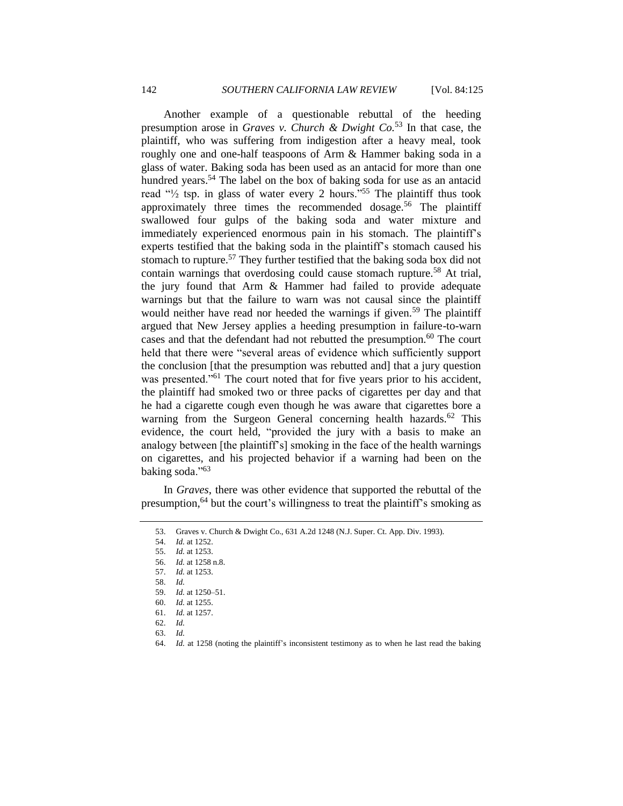Another example of a questionable rebuttal of the heeding presumption arose in *Graves v. Church & Dwight Co.*<sup>53</sup> In that case, the plaintiff, who was suffering from indigestion after a heavy meal, took roughly one and one-half teaspoons of Arm & Hammer baking soda in a glass of water. Baking soda has been used as an antacid for more than one hundred years.<sup>54</sup> The label on the box of baking soda for use as an antacid read  $\frac{1}{2}$  tsp. in glass of water every 2 hours.<sup>555</sup> The plaintiff thus took approximately three times the recommended dosage.<sup>56</sup> The plaintiff swallowed four gulps of the baking soda and water mixture and immediately experienced enormous pain in his stomach. The plaintiff's experts testified that the baking soda in the plaintiff's stomach caused his stomach to rupture.<sup>57</sup> They further testified that the baking soda box did not contain warnings that overdosing could cause stomach rupture.<sup>58</sup> At trial, the jury found that Arm & Hammer had failed to provide adequate warnings but that the failure to warn was not causal since the plaintiff would neither have read nor heeded the warnings if given.<sup>59</sup> The plaintiff argued that New Jersey applies a heeding presumption in failure-to-warn cases and that the defendant had not rebutted the presumption.<sup>60</sup> The court held that there were "several areas of evidence which sufficiently support the conclusion [that the presumption was rebutted and] that a jury question was presented."<sup>61</sup> The court noted that for five years prior to his accident, the plaintiff had smoked two or three packs of cigarettes per day and that he had a cigarette cough even though he was aware that cigarettes bore a warning from the Surgeon General concerning health hazards.<sup>62</sup> This evidence, the court held, "provided the jury with a basis to make an analogy between [the plaintiff's] smoking in the face of the health warnings on cigarettes, and his projected behavior if a warning had been on the baking soda." $63$ 

In *Graves*, there was other evidence that supported the rebuttal of the presumption, <sup>64</sup> but the court's willingness to treat the plaintiff's smoking as

<sup>53.</sup> Graves v. Church & Dwight Co., 631 A.2d 1248 (N.J. Super. Ct. App. Div. 1993).

<sup>54.</sup> *Id.* at 1252.

<sup>55.</sup> *Id.* at 1253.

<sup>56.</sup> *Id.* at 1258 n.8.

<sup>57.</sup> *Id.* at 1253.

<sup>58.</sup> *Id.*

<sup>59.</sup> *Id.* at 1250–51.

<sup>60.</sup> *Id.* at 1255.

<sup>61.</sup> *Id.* at 1257.

<sup>62.</sup> *Id.*

<sup>63.</sup> *Id.*

<sup>64.</sup> *Id.* at 1258 (noting the plaintiff's inconsistent testimony as to when he last read the baking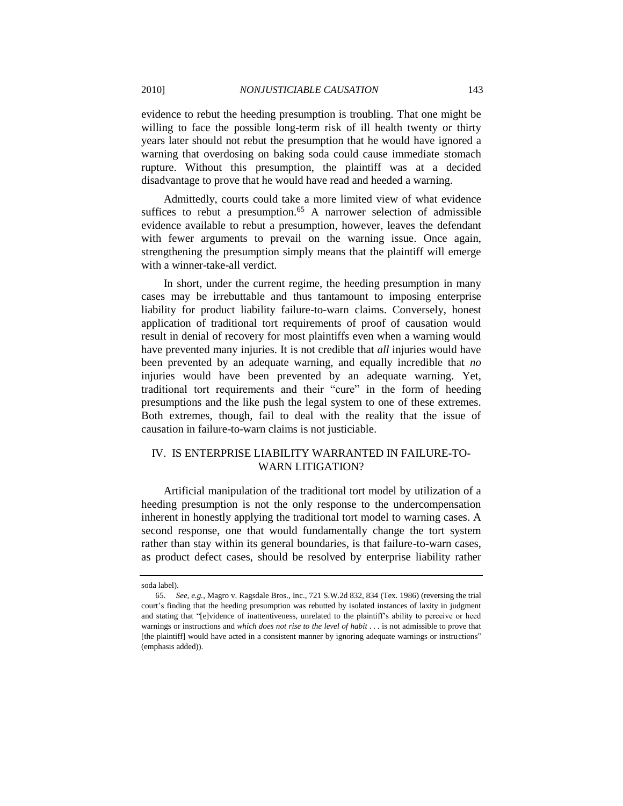evidence to rebut the heeding presumption is troubling. That one might be willing to face the possible long-term risk of ill health twenty or thirty years later should not rebut the presumption that he would have ignored a warning that overdosing on baking soda could cause immediate stomach rupture. Without this presumption, the plaintiff was at a decided disadvantage to prove that he would have read and heeded a warning.

<span id="page-18-1"></span>Admittedly, courts could take a more limited view of what evidence suffices to rebut a presumption.<sup>65</sup> A narrower selection of admissible evidence available to rebut a presumption, however, leaves the defendant with fewer arguments to prevail on the warning issue. Once again, strengthening the presumption simply means that the plaintiff will emerge with a winner-take-all verdict.

In short, under the current regime, the heeding presumption in many cases may be irrebuttable and thus tantamount to imposing enterprise liability for product liability failure-to-warn claims. Conversely, honest application of traditional tort requirements of proof of causation would result in denial of recovery for most plaintiffs even when a warning would have prevented many injuries. It is not credible that *all* injuries would have been prevented by an adequate warning, and equally incredible that *no* injuries would have been prevented by an adequate warning. Yet, traditional tort requirements and their "cure" in the form of heeding presumptions and the like push the legal system to one of these extremes. Both extremes, though, fail to deal with the reality that the issue of causation in failure-to-warn claims is not justiciable.

# <span id="page-18-0"></span>IV. IS ENTERPRISE LIABILITY WARRANTED IN FAILURE-TO-WARN LITIGATION?

Artificial manipulation of the traditional tort model by utilization of a heeding presumption is not the only response to the undercompensation inherent in honestly applying the traditional tort model to warning cases. A second response, one that would fundamentally change the tort system rather than stay within its general boundaries, is that failure-to-warn cases, as product defect cases, should be resolved by enterprise liability rather

soda label).

<sup>65.</sup> *See, e.g.*, Magro v. Ragsdale Bros., Inc., 721 S.W.2d 832, 834 (Tex. 1986) (reversing the trial court's finding that the heeding presumption was rebutted by isolated instances of laxity in judgment and stating that "[e]vidence of inattentiveness, unrelated to the plaintiff's ability to perceive or heed warnings or instructions and *which does not rise to the level of habit* . . . is not admissible to prove that [the plaintiff] would have acted in a consistent manner by ignoring adequate warnings or instructions" (emphasis added)).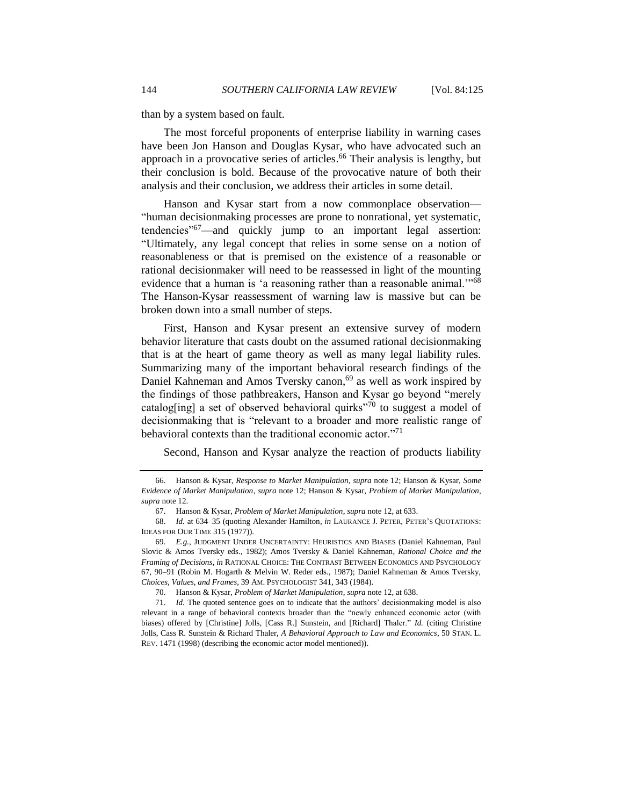than by a system based on fault.

The most forceful proponents of enterprise liability in warning cases have been Jon Hanson and Douglas Kysar, who have advocated such an approach in a provocative series of articles. <sup>66</sup> Their analysis is lengthy, but their conclusion is bold. Because of the provocative nature of both their analysis and their conclusion, we address their articles in some detail.

Hanson and Kysar start from a now commonplace observation— ―human decisionmaking processes are prone to nonrational, yet systematic, tendencies<sup>"67</sup>—and quickly jump to an important legal assertion: ―Ultimately, any legal concept that relies in some sense on a notion of reasonableness or that is premised on the existence of a reasonable or rational decisionmaker will need to be reassessed in light of the mounting evidence that a human is 'a reasoning rather than a reasonable animal."<sup>68</sup> The Hanson-Kysar reassessment of warning law is massive but can be broken down into a small number of steps.

First, Hanson and Kysar present an extensive survey of modern behavior literature that casts doubt on the assumed rational decisionmaking that is at the heart of game theory as well as many legal liability rules. Summarizing many of the important behavioral research findings of the Daniel Kahneman and Amos Tversky canon, <sup>69</sup> as well as work inspired by the findings of those pathbreakers, Hanson and Kysar go beyond "merely catalog[ing] a set of observed behavioral quirks<sup> $270$ </sup> to suggest a model of decisionmaking that is "relevant to a broader and more realistic range of behavioral contexts than the traditional economic actor. $171$ 

Second, Hanson and Kysar analyze the reaction of products liability

<sup>66.</sup> Hanson & Kysar, *Response to Market Manipulation*, *supra* note [12;](#page-5-0) Hanson & Kysar, *Some Evidence of Market Manipulation*, *supra* not[e 12;](#page-5-0) Hanson & Kysar, *Problem of Market Manipulation*, *supra* not[e 12.](#page-5-0)

<sup>67.</sup> Hanson & Kysar, *Problem of Market Manipulation*, *supra* not[e 12,](#page-5-0) at 633.

<sup>68.</sup> *Id.* at 634–35 (quoting Alexander Hamilton, *in* LAURANCE J. PETER, PETER'S QUOTATIONS: IDEAS FOR OUR TIME 315 (1977)).

<sup>69.</sup> *E.g.*, JUDGMENT UNDER UNCERTAINTY: HEURISTICS AND BIASES (Daniel Kahneman, Paul Slovic & Amos Tversky eds., 1982); Amos Tversky & Daniel Kahneman, *Rational Choice and the Framing of Decisions*, *in* RATIONAL CHOICE: THE CONTRAST BETWEEN ECONOMICS AND PSYCHOLOGY 67, 90–91 (Robin M. Hogarth & Melvin W. Reder eds., 1987); Daniel Kahneman & Amos Tversky, *Choices, Values, and Frames*, 39 AM. PSYCHOLOGIST 341, 343 (1984).

<sup>70.</sup> Hanson & Kysar, *Problem of Market Manipulation*, *supra* not[e 12,](#page-5-0) at 638.

<sup>71.</sup> *Id.* The quoted sentence goes on to indicate that the authors' decisionmaking model is also relevant in a range of behavioral contexts broader than the "newly enhanced economic actor (with biases) offered by [Christine] Jolls, [Cass R.] Sunstein, and [Richard] Thaler." *Id.* (citing Christine Jolls, Cass R. Sunstein & Richard Thaler, *A Behavioral Approach to Law and Economics*, 50 STAN. L. REV. 1471 (1998) (describing the economic actor model mentioned)).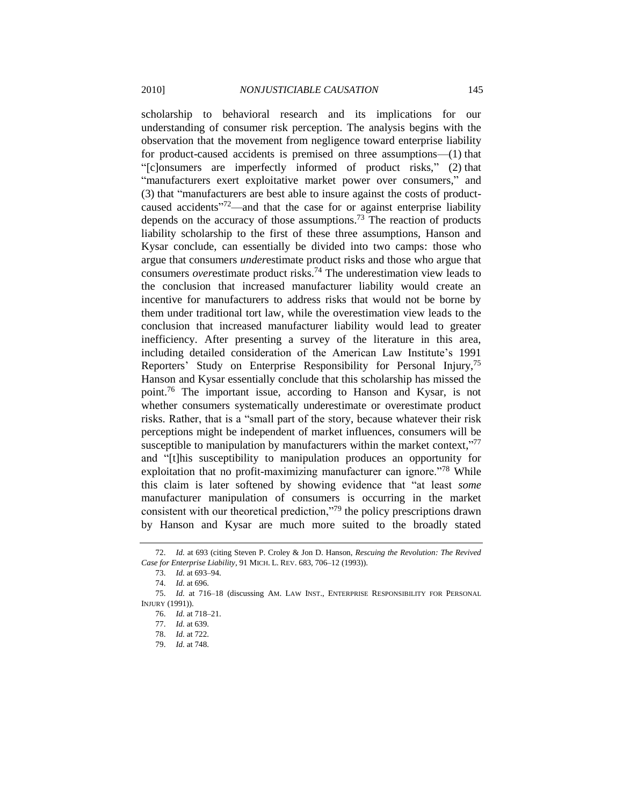scholarship to behavioral research and its implications for our understanding of consumer risk perception. The analysis begins with the observation that the movement from negligence toward enterprise liability for product-caused accidents is premised on three assumptions—(1) that ―[c]onsumers are imperfectly informed of product risks,‖ (2) that "manufacturers exert exploitative market power over consumers," and (3) that "manufacturers are best able to insure against the costs of productcaused accidents<sup>772</sup>—and that the case for or against enterprise liability depends on the accuracy of those assumptions.<sup>73</sup> The reaction of products liability scholarship to the first of these three assumptions, Hanson and Kysar conclude, can essentially be divided into two camps: those who argue that consumers *under*estimate product risks and those who argue that consumers *over*estimate product risks.<sup>74</sup> The underestimation view leads to the conclusion that increased manufacturer liability would create an incentive for manufacturers to address risks that would not be borne by them under traditional tort law, while the overestimation view leads to the conclusion that increased manufacturer liability would lead to greater inefficiency. After presenting a survey of the literature in this area, including detailed consideration of the American Law Institute's 1991 Reporters' Study on Enterprise Responsibility for Personal Injury,<sup>75</sup> Hanson and Kysar essentially conclude that this scholarship has missed the point.<sup>76</sup> The important issue, according to Hanson and Kysar, is not whether consumers systematically underestimate or overestimate product risks. Rather, that is a "small part of the story, because whatever their risk perceptions might be independent of market influences, consumers will be susceptible to manipulation by manufacturers within the market context," $77$ and "[t]his susceptibility to manipulation produces an opportunity for exploitation that no profit-maximizing manufacturer can ignore.<sup> $78$ </sup> While this claim is later softened by showing evidence that "at least *some* manufacturer manipulation of consumers is occurring in the market consistent with our theoretical prediction,"<sup>79</sup> the policy prescriptions drawn by Hanson and Kysar are much more suited to the broadly stated

<sup>72.</sup> *Id.* at 693 (citing Steven P. Croley & Jon D. Hanson, *Rescuing the Revolution: The Revived Case for Enterprise Liability*, 91 MICH. L. REV. 683, 706–12 (1993)).

<sup>73.</sup> *Id.* at 693–94.

<sup>74.</sup> *Id.* at 696.

<sup>75.</sup> *Id.* at 716–18 (discussing AM. LAW INST., ENTERPRISE RESPONSIBILITY FOR PERSONAL INJURY (1991)).

<sup>76.</sup> *Id.* at 718–21.

<sup>77.</sup> *Id.* at 639.

<sup>78.</sup> *Id.* at 722.

<sup>79.</sup> *Id.* at 748.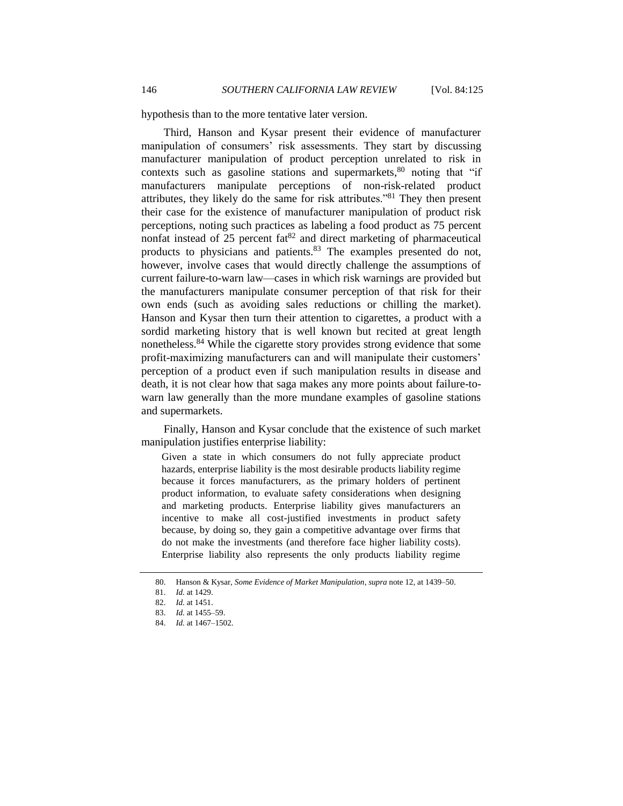hypothesis than to the more tentative later version.

Third, Hanson and Kysar present their evidence of manufacturer manipulation of consumers' risk assessments. They start by discussing manufacturer manipulation of product perception unrelated to risk in contexts such as gasoline stations and supermarkets,<sup>80</sup> noting that "if manufacturers manipulate perceptions of non-risk-related product attributes, they likely do the same for risk attributes.<sup>881</sup> They then present their case for the existence of manufacturer manipulation of product risk perceptions, noting such practices as labeling a food product as 75 percent nonfat instead of  $25$  percent  $fa^{82}$  and direct marketing of pharmaceutical products to physicians and patients.<sup>83</sup> The examples presented do not, however, involve cases that would directly challenge the assumptions of current failure-to-warn law—cases in which risk warnings are provided but the manufacturers manipulate consumer perception of that risk for their own ends (such as avoiding sales reductions or chilling the market). Hanson and Kysar then turn their attention to cigarettes, a product with a sordid marketing history that is well known but recited at great length nonetheless.<sup>84</sup> While the cigarette story provides strong evidence that some profit-maximizing manufacturers can and will manipulate their customers' perception of a product even if such manipulation results in disease and death, it is not clear how that saga makes any more points about failure-towarn law generally than the more mundane examples of gasoline stations and supermarkets.

Finally, Hanson and Kysar conclude that the existence of such market manipulation justifies enterprise liability:

Given a state in which consumers do not fully appreciate product hazards, enterprise liability is the most desirable products liability regime because it forces manufacturers, as the primary holders of pertinent product information, to evaluate safety considerations when designing and marketing products. Enterprise liability gives manufacturers an incentive to make all cost-justified investments in product safety because, by doing so, they gain a competitive advantage over firms that do not make the investments (and therefore face higher liability costs). Enterprise liability also represents the only products liability regime

<sup>80.</sup> Hanson & Kysar, *Some Evidence of Market Manipulation*, *supra* not[e 12,](#page-5-0) at 1439–50.

<sup>81.</sup> *Id.* at 1429.

<sup>82.</sup> *Id.* at 1451.

<sup>83.</sup> *Id.* at 1455–59.

<sup>84.</sup> *Id.* at 1467–1502.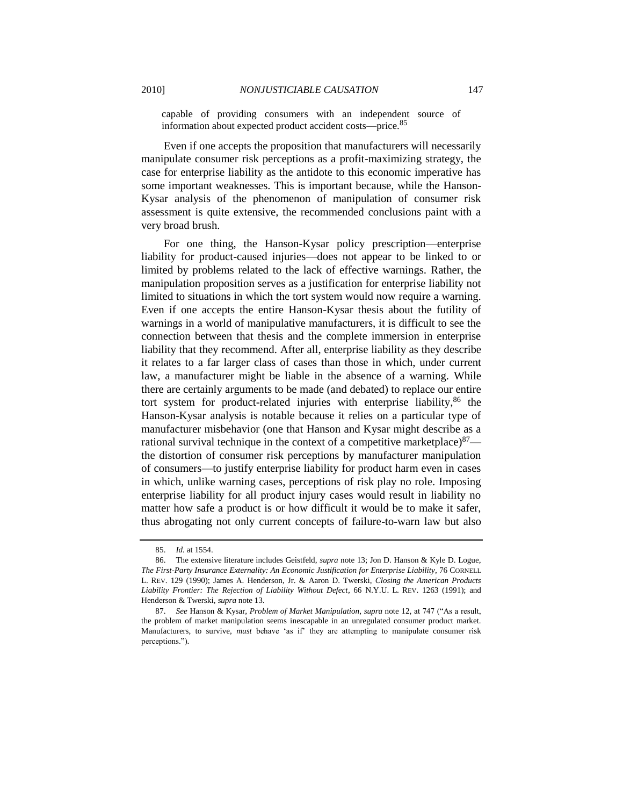capable of providing consumers with an independent source of information about expected product accident costs—price.<sup>85</sup>

Even if one accepts the proposition that manufacturers will necessarily manipulate consumer risk perceptions as a profit-maximizing strategy, the case for enterprise liability as the antidote to this economic imperative has some important weaknesses. This is important because, while the Hanson-Kysar analysis of the phenomenon of manipulation of consumer risk assessment is quite extensive, the recommended conclusions paint with a very broad brush.

For one thing, the Hanson-Kysar policy prescription—enterprise liability for product-caused injuries—does not appear to be linked to or limited by problems related to the lack of effective warnings. Rather, the manipulation proposition serves as a justification for enterprise liability not limited to situations in which the tort system would now require a warning. Even if one accepts the entire Hanson-Kysar thesis about the futility of warnings in a world of manipulative manufacturers, it is difficult to see the connection between that thesis and the complete immersion in enterprise liability that they recommend. After all, enterprise liability as they describe it relates to a far larger class of cases than those in which, under current law, a manufacturer might be liable in the absence of a warning. While there are certainly arguments to be made (and debated) to replace our entire tort system for product-related injuries with enterprise liability, <sup>86</sup> the Hanson-Kysar analysis is notable because it relies on a particular type of manufacturer misbehavior (one that Hanson and Kysar might describe as a rational survival technique in the context of a competitive marketplace) $87$ the distortion of consumer risk perceptions by manufacturer manipulation of consumers—to justify enterprise liability for product harm even in cases in which, unlike warning cases, perceptions of risk play no role. Imposing enterprise liability for all product injury cases would result in liability no matter how safe a product is or how difficult it would be to make it safer, thus abrogating not only current concepts of failure-to-warn law but also

<span id="page-22-0"></span><sup>85.</sup> *Id.* at 1554.

<sup>86.</sup> The extensive literature includes Geistfeld, *supra* note [13;](#page-5-1) Jon D. Hanson & Kyle D. Logue, *The First-Party Insurance Externality: An Economic Justification for Enterprise Liability*, 76 CORNELL L. REV. 129 (1990); James A. Henderson, Jr. & Aaron D. Twerski, *Closing the American Products Liability Frontier: The Rejection of Liability Without Defect*, 66 N.Y.U. L. REV. 1263 (1991); and Henderson & Twerski, *supra* not[e 13.](#page-5-1)

<sup>87.</sup> See Hanson & Kysar, *Problem of Market Manipulation*, *supra* not[e 12,](#page-5-0) at 747 ("As a result, the problem of market manipulation seems inescapable in an unregulated consumer product market. Manufacturers, to survive, *must* behave ‗as if' they are attempting to manipulate consumer risk perceptions.").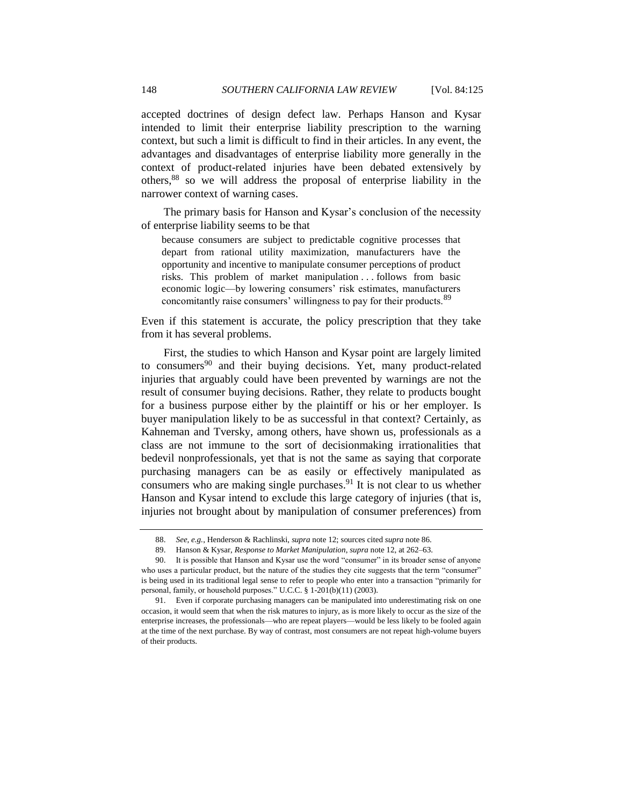accepted doctrines of design defect law. Perhaps Hanson and Kysar intended to limit their enterprise liability prescription to the warning context, but such a limit is difficult to find in their articles. In any event, the advantages and disadvantages of enterprise liability more generally in the context of product-related injuries have been debated extensively by others, <sup>88</sup> so we will address the proposal of enterprise liability in the narrower context of warning cases.

The primary basis for Hanson and Kysar's conclusion of the necessity of enterprise liability seems to be that

because consumers are subject to predictable cognitive processes that depart from rational utility maximization, manufacturers have the opportunity and incentive to manipulate consumer perceptions of product risks. This problem of market manipulation . . . follows from basic economic logic—by lowering consumers' risk estimates, manufacturers concomitantly raise consumers' willingness to pay for their products.<sup>89</sup>

Even if this statement is accurate, the policy prescription that they take from it has several problems.

First, the studies to which Hanson and Kysar point are largely limited to consumers<sup>90</sup> and their buying decisions. Yet, many product-related injuries that arguably could have been prevented by warnings are not the result of consumer buying decisions. Rather, they relate to products bought for a business purpose either by the plaintiff or his or her employer. Is buyer manipulation likely to be as successful in that context? Certainly, as Kahneman and Tversky, among others, have shown us, professionals as a class are not immune to the sort of decisionmaking irrationalities that bedevil nonprofessionals, yet that is not the same as saying that corporate purchasing managers can be as easily or effectively manipulated as consumers who are making single purchases. <sup>91</sup> It is not clear to us whether Hanson and Kysar intend to exclude this large category of injuries (that is, injuries not brought about by manipulation of consumer preferences) from

<sup>88.</sup> *See, e.g.*, Henderson & Rachlinski, *supra* note 12; sources cited *supra* not[e 86.](#page-22-0)

<sup>89.</sup> Hanson & Kysar, *Response to Market Manipulation*, *supra* not[e 12,](#page-5-0) at 262–63.

<sup>90.</sup> It is possible that Hanson and Kysar use the word "consumer" in its broader sense of anyone who uses a particular product, but the nature of the studies they cite suggests that the term "consumer" is being used in its traditional legal sense to refer to people who enter into a transaction "primarily for personal, family, or household purposes." U.C.C.  $\S$  1-201(b)(11) (2003).

<sup>91.</sup> Even if corporate purchasing managers can be manipulated into underestimating risk on one occasion, it would seem that when the risk matures to injury, as is more likely to occur as the size of the enterprise increases, the professionals—who are repeat players—would be less likely to be fooled again at the time of the next purchase. By way of contrast, most consumers are not repeat high-volume buyers of their products.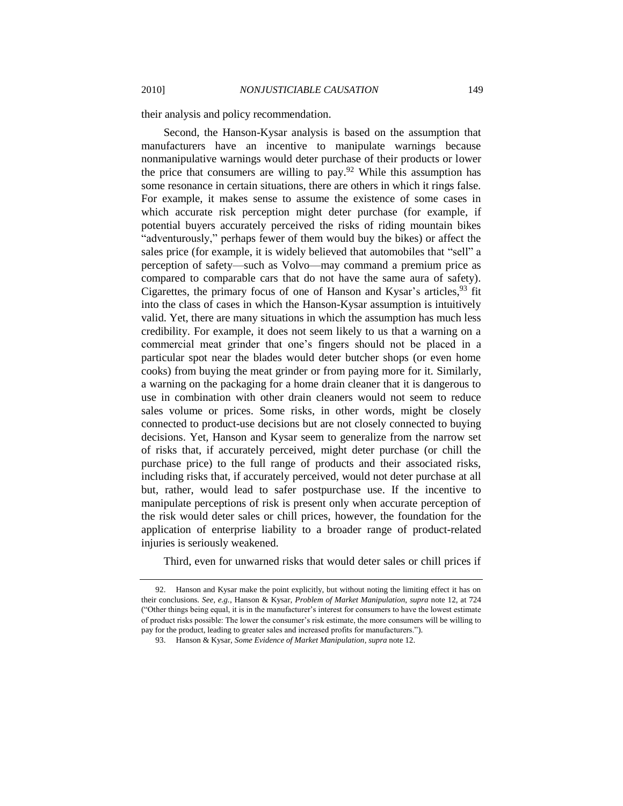their analysis and policy recommendation.

Second, the Hanson-Kysar analysis is based on the assumption that manufacturers have an incentive to manipulate warnings because nonmanipulative warnings would deter purchase of their products or lower the price that consumers are willing to pay.<sup>92</sup> While this assumption has some resonance in certain situations, there are others in which it rings false. For example, it makes sense to assume the existence of some cases in which accurate risk perception might deter purchase (for example, if potential buyers accurately perceived the risks of riding mountain bikes "adventurously," perhaps fewer of them would buy the bikes) or affect the sales price (for example, it is widely believed that automobiles that "sell" a perception of safety—such as Volvo—may command a premium price as compared to comparable cars that do not have the same aura of safety). Cigarettes, the primary focus of one of Hanson and Kysar's articles, <sup>93</sup> fit into the class of cases in which the Hanson-Kysar assumption is intuitively valid. Yet, there are many situations in which the assumption has much less credibility. For example, it does not seem likely to us that a warning on a commercial meat grinder that one's fingers should not be placed in a particular spot near the blades would deter butcher shops (or even home cooks) from buying the meat grinder or from paying more for it. Similarly, a warning on the packaging for a home drain cleaner that it is dangerous to use in combination with other drain cleaners would not seem to reduce sales volume or prices. Some risks, in other words, might be closely connected to product-use decisions but are not closely connected to buying decisions. Yet, Hanson and Kysar seem to generalize from the narrow set of risks that, if accurately perceived, might deter purchase (or chill the purchase price) to the full range of products and their associated risks, including risks that, if accurately perceived, would not deter purchase at all but, rather, would lead to safer postpurchase use. If the incentive to manipulate perceptions of risk is present only when accurate perception of the risk would deter sales or chill prices, however, the foundation for the application of enterprise liability to a broader range of product-related injuries is seriously weakened.

Third, even for unwarned risks that would deter sales or chill prices if

<sup>92.</sup> Hanson and Kysar make the point explicitly, but without noting the limiting effect it has on their conclusions. *See, e.g.*, Hanson & Kysar, *Problem of Market Manipulation*, *supra* note [12,](#page-5-0) at 724 (―Other things being equal, it is in the manufacturer's interest for consumers to have the lowest estimate of product risks possible: The lower the consumer's risk estimate, the more consumers will be willing to pay for the product, leading to greater sales and increased profits for manufacturers.").

<sup>93.</sup> Hanson & Kysar, *Some Evidence of Market Manipulation*, *supra* not[e 12.](#page-5-0)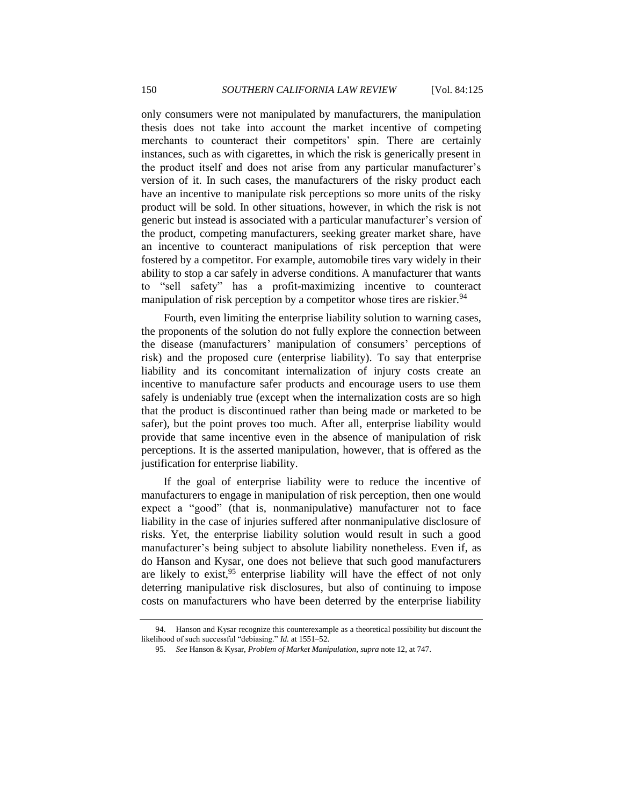only consumers were not manipulated by manufacturers, the manipulation thesis does not take into account the market incentive of competing merchants to counteract their competitors' spin. There are certainly instances, such as with cigarettes, in which the risk is generically present in the product itself and does not arise from any particular manufacturer's version of it. In such cases, the manufacturers of the risky product each have an incentive to manipulate risk perceptions so more units of the risky product will be sold. In other situations, however, in which the risk is not generic but instead is associated with a particular manufacturer's version of the product, competing manufacturers, seeking greater market share, have an incentive to counteract manipulations of risk perception that were fostered by a competitor. For example, automobile tires vary widely in their ability to stop a car safely in adverse conditions. A manufacturer that wants to "sell safety" has a profit-maximizing incentive to counteract manipulation of risk perception by a competitor whose tires are riskier.<sup>94</sup>

Fourth, even limiting the enterprise liability solution to warning cases, the proponents of the solution do not fully explore the connection between the disease (manufacturers' manipulation of consumers' perceptions of risk) and the proposed cure (enterprise liability). To say that enterprise liability and its concomitant internalization of injury costs create an incentive to manufacture safer products and encourage users to use them safely is undeniably true (except when the internalization costs are so high that the product is discontinued rather than being made or marketed to be safer), but the point proves too much. After all, enterprise liability would provide that same incentive even in the absence of manipulation of risk perceptions. It is the asserted manipulation, however, that is offered as the justification for enterprise liability.

If the goal of enterprise liability were to reduce the incentive of manufacturers to engage in manipulation of risk perception, then one would expect a "good" (that is, nonmanipulative) manufacturer not to face liability in the case of injuries suffered after nonmanipulative disclosure of risks. Yet, the enterprise liability solution would result in such a good manufacturer's being subject to absolute liability nonetheless. Even if, as do Hanson and Kysar, one does not believe that such good manufacturers are likely to exist,<sup>95</sup> enterprise liability will have the effect of not only deterring manipulative risk disclosures, but also of continuing to impose costs on manufacturers who have been deterred by the enterprise liability

<sup>94.</sup> Hanson and Kysar recognize this counterexample as a theoretical possibility but discount the likelihood of such successful "debiasing." *Id.* at 1551–52.

<sup>95.</sup> *See* Hanson & Kysar, *Problem of Market Manipulation*, *supra* not[e 12,](#page-5-0) at 747.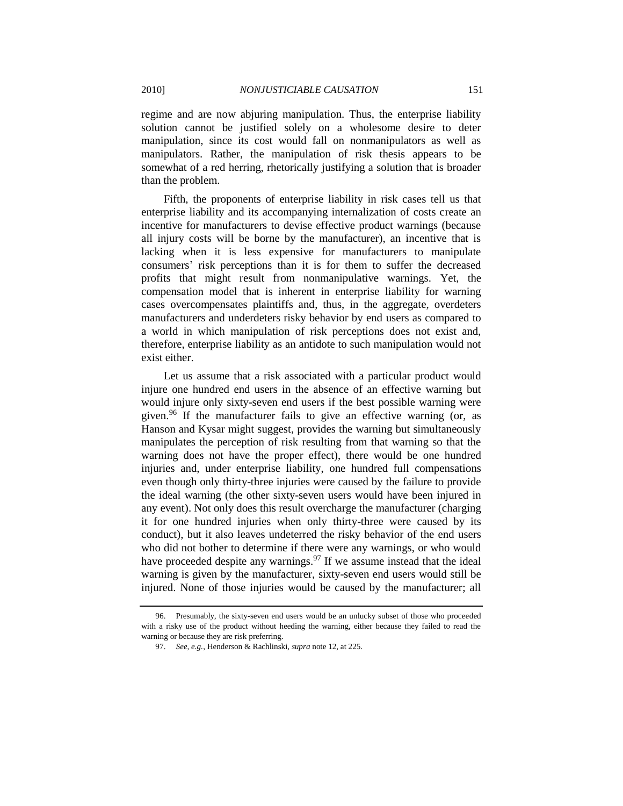regime and are now abjuring manipulation. Thus, the enterprise liability solution cannot be justified solely on a wholesome desire to deter manipulation, since its cost would fall on nonmanipulators as well as manipulators. Rather, the manipulation of risk thesis appears to be somewhat of a red herring, rhetorically justifying a solution that is broader than the problem.

Fifth, the proponents of enterprise liability in risk cases tell us that enterprise liability and its accompanying internalization of costs create an incentive for manufacturers to devise effective product warnings (because all injury costs will be borne by the manufacturer), an incentive that is lacking when it is less expensive for manufacturers to manipulate consumers' risk perceptions than it is for them to suffer the decreased profits that might result from nonmanipulative warnings. Yet, the compensation model that is inherent in enterprise liability for warning cases overcompensates plaintiffs and, thus, in the aggregate, overdeters manufacturers and underdeters risky behavior by end users as compared to a world in which manipulation of risk perceptions does not exist and, therefore, enterprise liability as an antidote to such manipulation would not exist either.

Let us assume that a risk associated with a particular product would injure one hundred end users in the absence of an effective warning but would injure only sixty-seven end users if the best possible warning were given.<sup>96</sup> If the manufacturer fails to give an effective warning (or, as Hanson and Kysar might suggest, provides the warning but simultaneously manipulates the perception of risk resulting from that warning so that the warning does not have the proper effect), there would be one hundred injuries and, under enterprise liability, one hundred full compensations even though only thirty-three injuries were caused by the failure to provide the ideal warning (the other sixty-seven users would have been injured in any event). Not only does this result overcharge the manufacturer (charging it for one hundred injuries when only thirty-three were caused by its conduct), but it also leaves undeterred the risky behavior of the end users who did not bother to determine if there were any warnings, or who would have proceeded despite any warnings.<sup>97</sup> If we assume instead that the ideal warning is given by the manufacturer, sixty-seven end users would still be injured. None of those injuries would be caused by the manufacturer; all

<sup>96.</sup> Presumably, the sixty-seven end users would be an unlucky subset of those who proceeded with a risky use of the product without heeding the warning, either because they failed to read the warning or because they are risk preferring.

<sup>97.</sup> *See, e.g.*, Henderson & Rachlinski, *supra* not[e 12,](#page-5-0) at 225.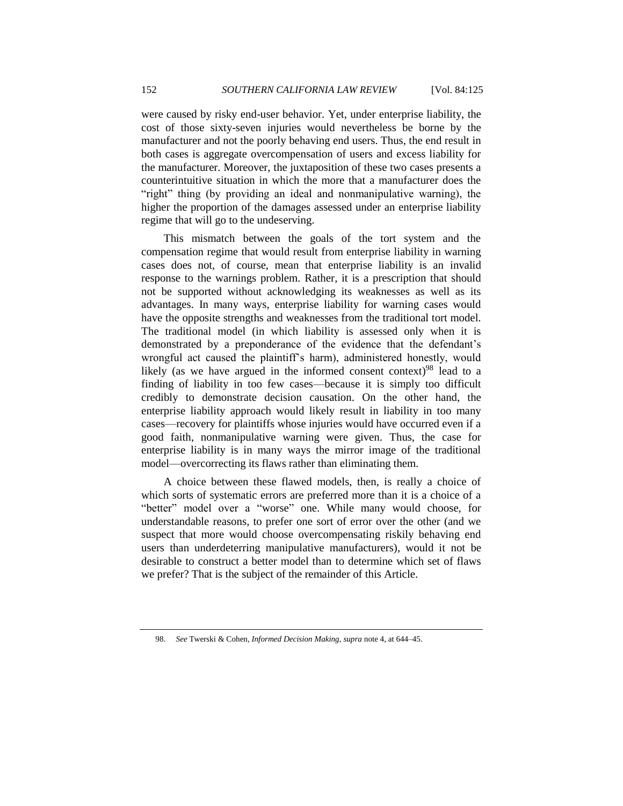were caused by risky end-user behavior. Yet, under enterprise liability, the cost of those sixty-seven injuries would nevertheless be borne by the manufacturer and not the poorly behaving end users. Thus, the end result in both cases is aggregate overcompensation of users and excess liability for the manufacturer. Moreover, the juxtaposition of these two cases presents a counterintuitive situation in which the more that a manufacturer does the "right" thing (by providing an ideal and nonmanipulative warning), the higher the proportion of the damages assessed under an enterprise liability regime that will go to the undeserving.

This mismatch between the goals of the tort system and the compensation regime that would result from enterprise liability in warning cases does not, of course, mean that enterprise liability is an invalid response to the warnings problem. Rather, it is a prescription that should not be supported without acknowledging its weaknesses as well as its advantages. In many ways, enterprise liability for warning cases would have the opposite strengths and weaknesses from the traditional tort model. The traditional model (in which liability is assessed only when it is demonstrated by a preponderance of the evidence that the defendant's wrongful act caused the plaintiff's harm), administered honestly, would likely (as we have argued in the informed consent context)<sup>98</sup> lead to a finding of liability in too few cases—because it is simply too difficult credibly to demonstrate decision causation. On the other hand, the enterprise liability approach would likely result in liability in too many cases—recovery for plaintiffs whose injuries would have occurred even if a good faith, nonmanipulative warning were given. Thus, the case for enterprise liability is in many ways the mirror image of the traditional model—overcorrecting its flaws rather than eliminating them.

A choice between these flawed models, then, is really a choice of which sorts of systematic errors are preferred more than it is a choice of a "better" model over a "worse" one. While many would choose, for understandable reasons, to prefer one sort of error over the other (and we suspect that more would choose overcompensating riskily behaving end users than underdeterring manipulative manufacturers), would it not be desirable to construct a better model than to determine which set of flaws we prefer? That is the subject of the remainder of this Article.

<sup>98.</sup> *See* Twerski & Cohen, *Informed Decision Making*, *supra* note 4, at 644–45.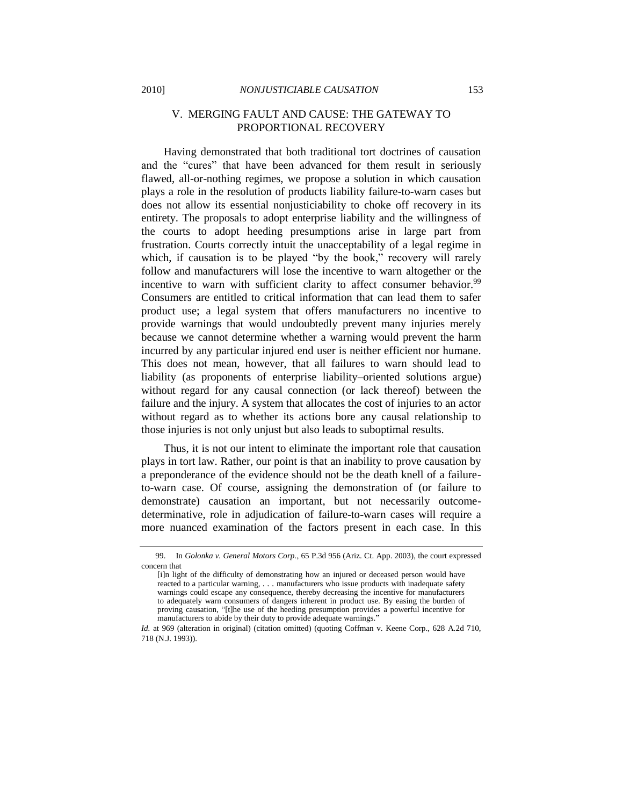## <span id="page-28-0"></span>V. MERGING FAULT AND CAUSE: THE GATEWAY TO PROPORTIONAL RECOVERY

Having demonstrated that both traditional tort doctrines of causation and the "cures" that have been advanced for them result in seriously flawed, all-or-nothing regimes, we propose a solution in which causation plays a role in the resolution of products liability failure-to-warn cases but does not allow its essential nonjusticiability to choke off recovery in its entirety. The proposals to adopt enterprise liability and the willingness of the courts to adopt heeding presumptions arise in large part from frustration. Courts correctly intuit the unacceptability of a legal regime in which, if causation is to be played "by the book," recovery will rarely follow and manufacturers will lose the incentive to warn altogether or the incentive to warn with sufficient clarity to affect consumer behavior.<sup>99</sup> Consumers are entitled to critical information that can lead them to safer product use; a legal system that offers manufacturers no incentive to provide warnings that would undoubtedly prevent many injuries merely because we cannot determine whether a warning would prevent the harm incurred by any particular injured end user is neither efficient nor humane. This does not mean, however, that all failures to warn should lead to liability (as proponents of enterprise liability–oriented solutions argue) without regard for any causal connection (or lack thereof) between the failure and the injury. A system that allocates the cost of injuries to an actor without regard as to whether its actions bore any causal relationship to those injuries is not only unjust but also leads to suboptimal results.

Thus, it is not our intent to eliminate the important role that causation plays in tort law. Rather, our point is that an inability to prove causation by a preponderance of the evidence should not be the death knell of a failureto-warn case. Of course, assigning the demonstration of (or failure to demonstrate) causation an important, but not necessarily outcomedeterminative, role in adjudication of failure-to-warn cases will require a more nuanced examination of the factors present in each case. In this

<sup>99.</sup> In *Golonka v. General Motors Corp.*, 65 P.3d 956 (Ariz. Ct. App. 2003), the court expressed concern that

<sup>[</sup>i]n light of the difficulty of demonstrating how an injured or deceased person would have reacted to a particular warning, . . . manufacturers who issue products with inadequate safety warnings could escape any consequence, thereby decreasing the incentive for manufacturers to adequately warn consumers of dangers inherent in product use. By easing the burden of proving causation, "[t]he use of the heeding presumption provides a powerful incentive for manufacturers to abide by their duty to provide adequate warnings.'

*Id.* at 969 (alteration in original) (citation omitted) (quoting Coffman v. Keene Corp., 628 A.2d 710, 718 (N.J. 1993)).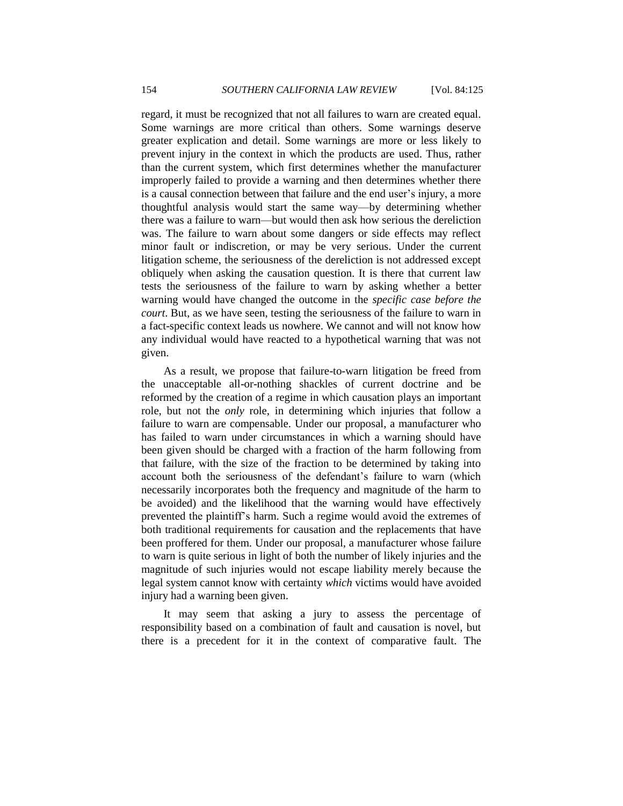regard, it must be recognized that not all failures to warn are created equal. Some warnings are more critical than others. Some warnings deserve greater explication and detail. Some warnings are more or less likely to prevent injury in the context in which the products are used. Thus, rather than the current system, which first determines whether the manufacturer improperly failed to provide a warning and then determines whether there is a causal connection between that failure and the end user's injury, a more thoughtful analysis would start the same way—by determining whether there was a failure to warn—but would then ask how serious the dereliction was. The failure to warn about some dangers or side effects may reflect minor fault or indiscretion, or may be very serious. Under the current litigation scheme, the seriousness of the dereliction is not addressed except obliquely when asking the causation question. It is there that current law tests the seriousness of the failure to warn by asking whether a better warning would have changed the outcome in the *specific case before the court*. But, as we have seen, testing the seriousness of the failure to warn in a fact-specific context leads us nowhere. We cannot and will not know how any individual would have reacted to a hypothetical warning that was not given.

As a result, we propose that failure-to-warn litigation be freed from the unacceptable all-or-nothing shackles of current doctrine and be reformed by the creation of a regime in which causation plays an important role, but not the *only* role, in determining which injuries that follow a failure to warn are compensable. Under our proposal, a manufacturer who has failed to warn under circumstances in which a warning should have been given should be charged with a fraction of the harm following from that failure, with the size of the fraction to be determined by taking into account both the seriousness of the defendant's failure to warn (which necessarily incorporates both the frequency and magnitude of the harm to be avoided) and the likelihood that the warning would have effectively prevented the plaintiff's harm. Such a regime would avoid the extremes of both traditional requirements for causation and the replacements that have been proffered for them. Under our proposal, a manufacturer whose failure to warn is quite serious in light of both the number of likely injuries and the magnitude of such injuries would not escape liability merely because the legal system cannot know with certainty *which* victims would have avoided injury had a warning been given.

It may seem that asking a jury to assess the percentage of responsibility based on a combination of fault and causation is novel, but there is a precedent for it in the context of comparative fault. The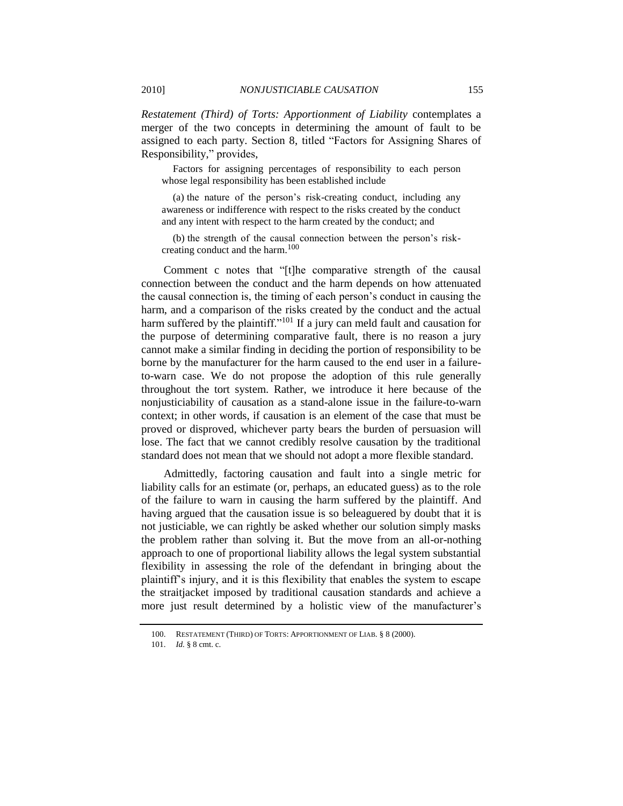*Restatement (Third) of Torts: Apportionment of Liability* contemplates a merger of the two concepts in determining the amount of fault to be assigned to each party. Section 8, titled "Factors for Assigning Shares of Responsibility," provides,

Factors for assigning percentages of responsibility to each person whose legal responsibility has been established include

(a) the nature of the person's risk-creating conduct, including any awareness or indifference with respect to the risks created by the conduct and any intent with respect to the harm created by the conduct; and

(b) the strength of the causal connection between the person's riskcreating conduct and the harm.<sup>100</sup>

Comment c notes that "[t]he comparative strength of the causal connection between the conduct and the harm depends on how attenuated the causal connection is, the timing of each person's conduct in causing the harm, and a comparison of the risks created by the conduct and the actual harm suffered by the plaintiff."<sup>101</sup> If a jury can meld fault and causation for the purpose of determining comparative fault, there is no reason a jury cannot make a similar finding in deciding the portion of responsibility to be borne by the manufacturer for the harm caused to the end user in a failureto-warn case. We do not propose the adoption of this rule generally throughout the tort system. Rather, we introduce it here because of the nonjusticiability of causation as a stand-alone issue in the failure-to-warn context; in other words, if causation is an element of the case that must be proved or disproved, whichever party bears the burden of persuasion will lose. The fact that we cannot credibly resolve causation by the traditional standard does not mean that we should not adopt a more flexible standard.

Admittedly, factoring causation and fault into a single metric for liability calls for an estimate (or, perhaps, an educated guess) as to the role of the failure to warn in causing the harm suffered by the plaintiff. And having argued that the causation issue is so beleaguered by doubt that it is not justiciable, we can rightly be asked whether our solution simply masks the problem rather than solving it. But the move from an all-or-nothing approach to one of proportional liability allows the legal system substantial flexibility in assessing the role of the defendant in bringing about the plaintiff's injury, and it is this flexibility that enables the system to escape the straitjacket imposed by traditional causation standards and achieve a more just result determined by a holistic view of the manufacturer's

<sup>100.</sup> RESTATEMENT (THIRD) OF TORTS: APPORTIONMENT OF LIAB. § 8 (2000).

<sup>101.</sup> *Id.* § 8 cmt. c.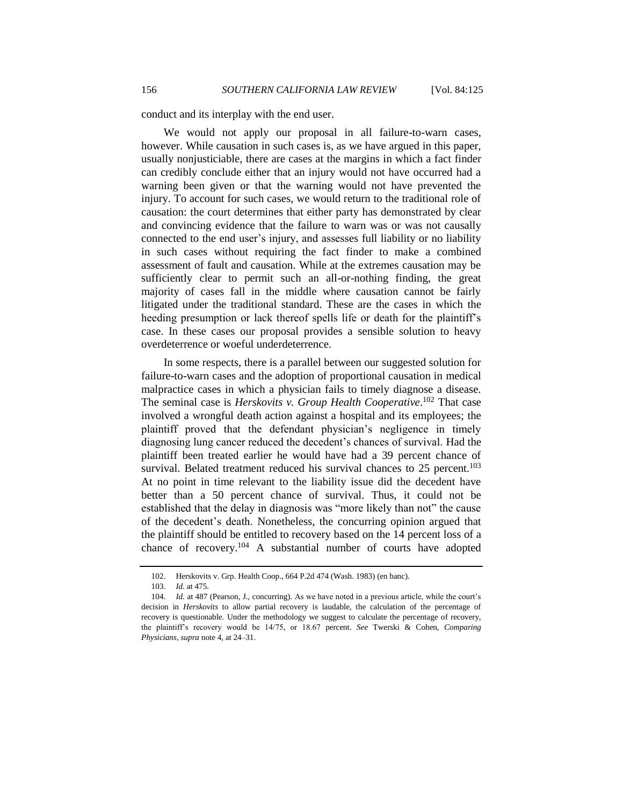conduct and its interplay with the end user.

We would not apply our proposal in all failure-to-warn cases, however. While causation in such cases is, as we have argued in this paper, usually nonjusticiable, there are cases at the margins in which a fact finder can credibly conclude either that an injury would not have occurred had a warning been given or that the warning would not have prevented the injury. To account for such cases, we would return to the traditional role of causation: the court determines that either party has demonstrated by clear and convincing evidence that the failure to warn was or was not causally connected to the end user's injury, and assesses full liability or no liability in such cases without requiring the fact finder to make a combined assessment of fault and causation. While at the extremes causation may be sufficiently clear to permit such an all-or-nothing finding, the great majority of cases fall in the middle where causation cannot be fairly litigated under the traditional standard. These are the cases in which the heeding presumption or lack thereof spells life or death for the plaintiff's case. In these cases our proposal provides a sensible solution to heavy overdeterrence or woeful underdeterrence.

In some respects, there is a parallel between our suggested solution for failure-to-warn cases and the adoption of proportional causation in medical malpractice cases in which a physician fails to timely diagnose a disease. The seminal case is *Herskovits v. Group Health Cooperative*. <sup>102</sup> That case involved a wrongful death action against a hospital and its employees; the plaintiff proved that the defendant physician's negligence in timely diagnosing lung cancer reduced the decedent's chances of survival. Had the plaintiff been treated earlier he would have had a 39 percent chance of survival. Belated treatment reduced his survival chances to  $25$  percent.<sup>103</sup> At no point in time relevant to the liability issue did the decedent have better than a 50 percent chance of survival. Thus, it could not be established that the delay in diagnosis was "more likely than not" the cause of the decedent's death. Nonetheless, the concurring opinion argued that the plaintiff should be entitled to recovery based on the 14 percent loss of a chance of recovery.<sup>104</sup> A substantial number of courts have adopted

<sup>102.</sup> Herskovits v. Grp. Health Coop., 664 P.2d 474 (Wash. 1983) (en banc).

<sup>103.</sup> *Id.* at 475.

<sup>104.</sup> *Id.* at 487 (Pearson, J., concurring). As we have noted in a previous article, while the court's decision in *Herskovits* to allow partial recovery is laudable, the calculation of the percentage of recovery is questionable. Under the methodology we suggest to calculate the percentage of recovery, the plaintiff's recovery would be 14/75, or 18.67 percent. *See* Twerski & Cohen, *Comparing Physicians*, *supra* not[e 4,](#page-3-0) at 24–31.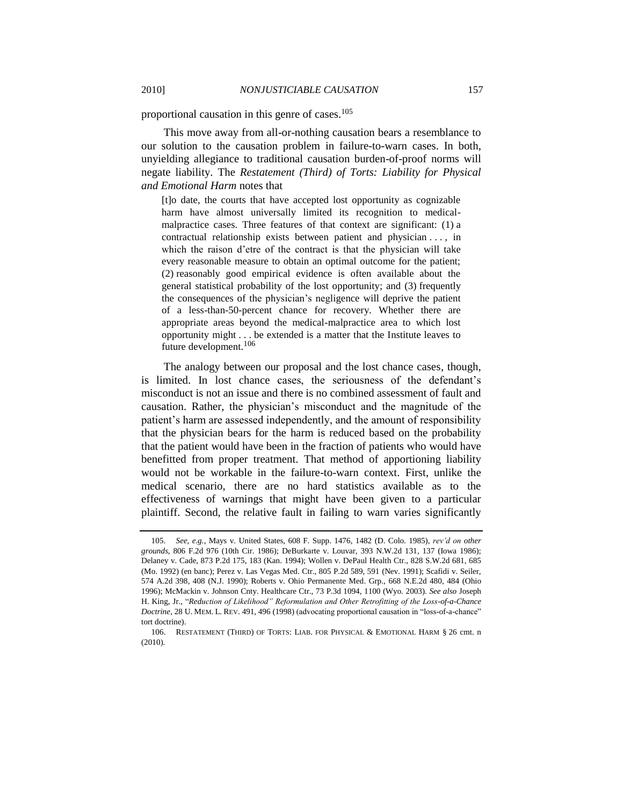proportional causation in this genre of cases.<sup>105</sup>

This move away from all-or-nothing causation bears a resemblance to our solution to the causation problem in failure-to-warn cases. In both, unyielding allegiance to traditional causation burden-of-proof norms will negate liability. The *Restatement (Third) of Torts: Liability for Physical and Emotional Harm* notes that

[t]o date, the courts that have accepted lost opportunity as cognizable harm have almost universally limited its recognition to medicalmalpractice cases. Three features of that context are significant: (1) a contractual relationship exists between patient and physician . . . , in which the raison d'etre of the contract is that the physician will take every reasonable measure to obtain an optimal outcome for the patient; (2) reasonably good empirical evidence is often available about the general statistical probability of the lost opportunity; and (3) frequently the consequences of the physician's negligence will deprive the patient of a less-than-50-percent chance for recovery. Whether there are appropriate areas beyond the medical-malpractice area to which lost opportunity might . . . be extended is a matter that the Institute leaves to future development.<sup>106</sup>

The analogy between our proposal and the lost chance cases, though, is limited. In lost chance cases, the seriousness of the defendant's misconduct is not an issue and there is no combined assessment of fault and causation. Rather, the physician's misconduct and the magnitude of the patient's harm are assessed independently, and the amount of responsibility that the physician bears for the harm is reduced based on the probability that the patient would have been in the fraction of patients who would have benefitted from proper treatment. That method of apportioning liability would not be workable in the failure-to-warn context. First, unlike the medical scenario, there are no hard statistics available as to the effectiveness of warnings that might have been given to a particular plaintiff. Second, the relative fault in failing to warn varies significantly

<sup>105.</sup> *See, e.g.*, Mays v. United States, 608 F. Supp. 1476, 1482 (D. Colo. 1985), *rev'd on other grounds*, 806 F.2d 976 (10th Cir. 1986); DeBurkarte v. Louvar, 393 N.W.2d 131, 137 (Iowa 1986); Delaney v. Cade, 873 P.2d 175, 183 (Kan. 1994); Wollen v. DePaul Health Ctr., 828 S.W.2d 681, 685 (Mo. 1992) (en banc); Perez v. Las Vegas Med. Ctr., 805 P.2d 589, 591 (Nev. 1991); Scafidi v. Seiler, 574 A.2d 398, 408 (N.J. 1990); Roberts v. Ohio Permanente Med. Grp., 668 N.E.2d 480, 484 (Ohio 1996); McMackin v. Johnson Cnty. Healthcare Ctr., 73 P.3d 1094, 1100 (Wyo. 2003). *See also* Joseph H. King, Jr., "Reduction of Likelihood" Reformulation and Other Retrofitting of the Loss-of-a-Chance *Doctrine*, 28 U. MEM. L. REV. 491, 496 (1998) (advocating proportional causation in "loss-of-a-chance" tort doctrine).

<sup>106.</sup> RESTATEMENT (THIRD) OF TORTS: LIAB. FOR PHYSICAL & EMOTIONAL HARM § 26 cmt. n (2010).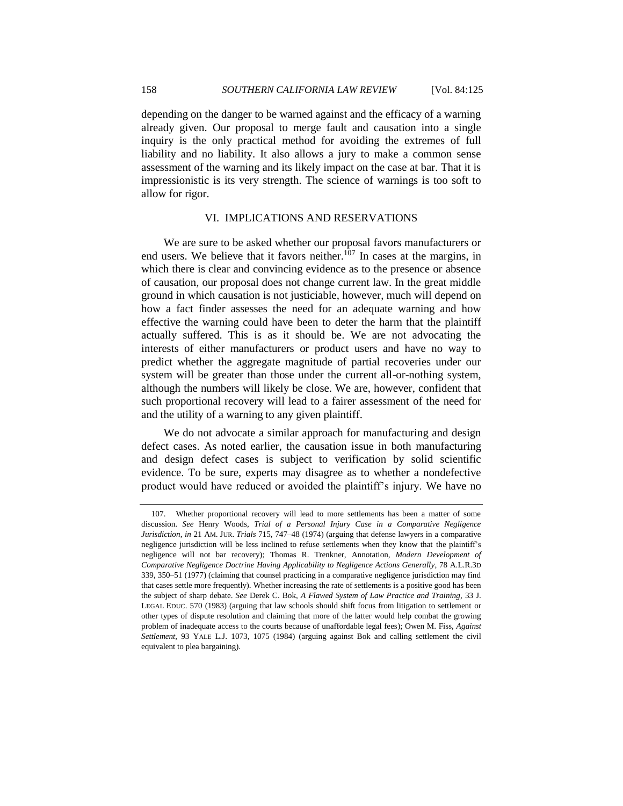158 *SOUTHERN CALIFORNIA LAW REVIEW* [Vol. 84:125

depending on the danger to be warned against and the efficacy of a warning already given. Our proposal to merge fault and causation into a single inquiry is the only practical method for avoiding the extremes of full liability and no liability. It also allows a jury to make a common sense assessment of the warning and its likely impact on the case at bar. That it is impressionistic is its very strength. The science of warnings is too soft to allow for rigor.

## VI. IMPLICATIONS AND RESERVATIONS

<span id="page-33-0"></span>We are sure to be asked whether our proposal favors manufacturers or end users. We believe that it favors neither.<sup>107</sup> In cases at the margins, in which there is clear and convincing evidence as to the presence or absence of causation, our proposal does not change current law. In the great middle ground in which causation is not justiciable, however, much will depend on how a fact finder assesses the need for an adequate warning and how effective the warning could have been to deter the harm that the plaintiff actually suffered. This is as it should be. We are not advocating the interests of either manufacturers or product users and have no way to predict whether the aggregate magnitude of partial recoveries under our system will be greater than those under the current all-or-nothing system, although the numbers will likely be close. We are, however, confident that such proportional recovery will lead to a fairer assessment of the need for and the utility of a warning to any given plaintiff.

We do not advocate a similar approach for manufacturing and design defect cases. As noted earlier, the causation issue in both manufacturing and design defect cases is subject to verification by solid scientific evidence. To be sure, experts may disagree as to whether a nondefective product would have reduced or avoided the plaintiff's injury. We have no

<sup>107.</sup> Whether proportional recovery will lead to more settlements has been a matter of some discussion. *See* Henry Woods, *Trial of a Personal Injury Case in a Comparative Negligence Jurisdiction*, *in* 21 AM. JUR. *Trials* 715, 747–48 (1974) (arguing that defense lawyers in a comparative negligence jurisdiction will be less inclined to refuse settlements when they know that the plaintiff's negligence will not bar recovery); Thomas R. Trenkner, Annotation, *Modern Development of Comparative Negligence Doctrine Having Applicability to Negligence Actions Generally*, 78 A.L.R.3D 339, 350–51 (1977) (claiming that counsel practicing in a comparative negligence jurisdiction may find that cases settle more frequently). Whether increasing the rate of settlements is a positive good has been the subject of sharp debate. *See* Derek C. Bok, *A Flawed System of Law Practice and Training*, 33 J. LEGAL EDUC. 570 (1983) (arguing that law schools should shift focus from litigation to settlement or other types of dispute resolution and claiming that more of the latter would help combat the growing problem of inadequate access to the courts because of unaffordable legal fees); Owen M. Fiss, *Against Settlement*, 93 YALE L.J. 1073, 1075 (1984) (arguing against Bok and calling settlement the civil equivalent to plea bargaining).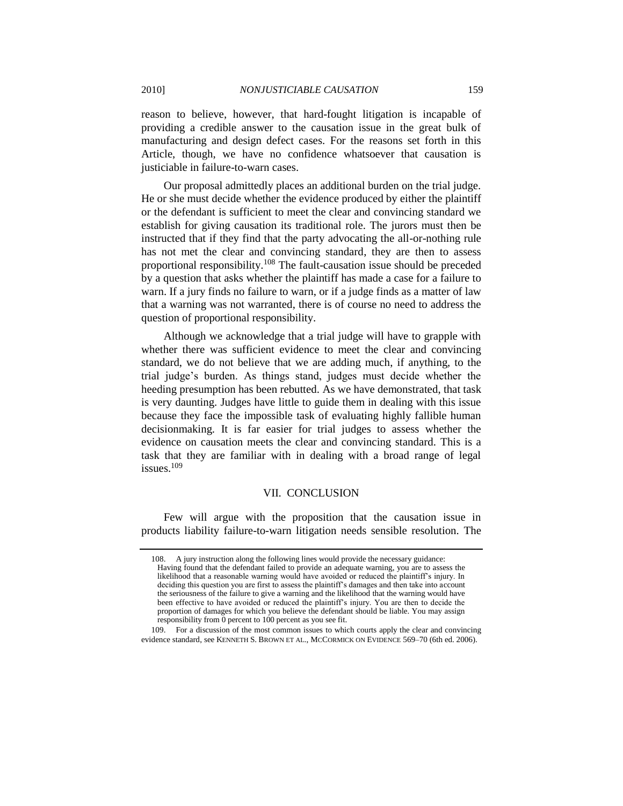reason to believe, however, that hard-fought litigation is incapable of providing a credible answer to the causation issue in the great bulk of manufacturing and design defect cases. For the reasons set forth in this Article, though, we have no confidence whatsoever that causation is justiciable in failure-to-warn cases.

Our proposal admittedly places an additional burden on the trial judge. He or she must decide whether the evidence produced by either the plaintiff or the defendant is sufficient to meet the clear and convincing standard we establish for giving causation its traditional role. The jurors must then be instructed that if they find that the party advocating the all-or-nothing rule has not met the clear and convincing standard, they are then to assess proportional responsibility.<sup>108</sup> The fault-causation issue should be preceded by a question that asks whether the plaintiff has made a case for a failure to warn. If a jury finds no failure to warn, or if a judge finds as a matter of law that a warning was not warranted, there is of course no need to address the question of proportional responsibility.

Although we acknowledge that a trial judge will have to grapple with whether there was sufficient evidence to meet the clear and convincing standard, we do not believe that we are adding much, if anything, to the trial judge's burden. As things stand, judges must decide whether the heeding presumption has been rebutted. As we have demonstrated, that task is very daunting. Judges have little to guide them in dealing with this issue because they face the impossible task of evaluating highly fallible human decisionmaking. It is far easier for trial judges to assess whether the evidence on causation meets the clear and convincing standard. This is a task that they are familiar with in dealing with a broad range of legal issues. $109$ 

#### VII. CONCLUSION

<span id="page-34-0"></span>Few will argue with the proposition that the causation issue in products liability failure-to-warn litigation needs sensible resolution. The

<sup>108.</sup> A jury instruction along the following lines would provide the necessary guidance: Having found that the defendant failed to provide an adequate warning, you are to assess the likelihood that a reasonable warning would have avoided or reduced the plaintiff's injury. In deciding this question you are first to assess the plaintiff's damages and then take into account the seriousness of the failure to give a warning and the likelihood that the warning would have been effective to have avoided or reduced the plaintiff's injury. You are then to decide the proportion of damages for which you believe the defendant should be liable. You may assign responsibility from 0 percent to 100 percent as you see fit.

<sup>109.</sup> For a discussion of the most common issues to which courts apply the clear and convincing evidence standard, see KENNETH S. BROWN ET AL., MCCORMICK ON EVIDENCE 569–70 (6th ed. 2006).